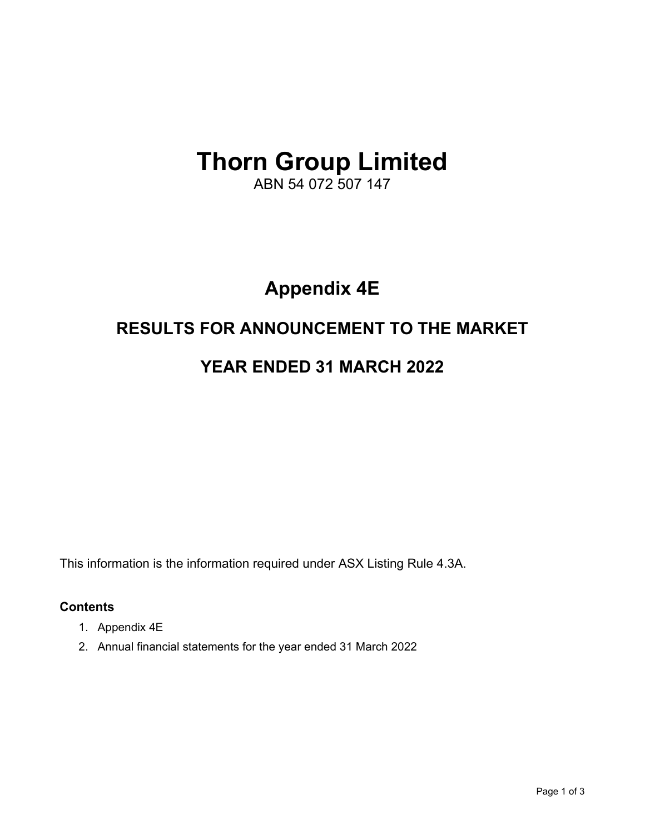# **Thorn Group Limited**

ABN 54 072 507 147

# **Appendix 4E**

# **RESULTS FOR ANNOUNCEMENT TO THE MARKET**

# **YEAR ENDED 31 MARCH 2022**

This information is the information required under ASX Listing Rule 4.3A.

# **Contents**

- 1. Appendix 4E
- 2. Annual financial statements for the year ended 31 March 2022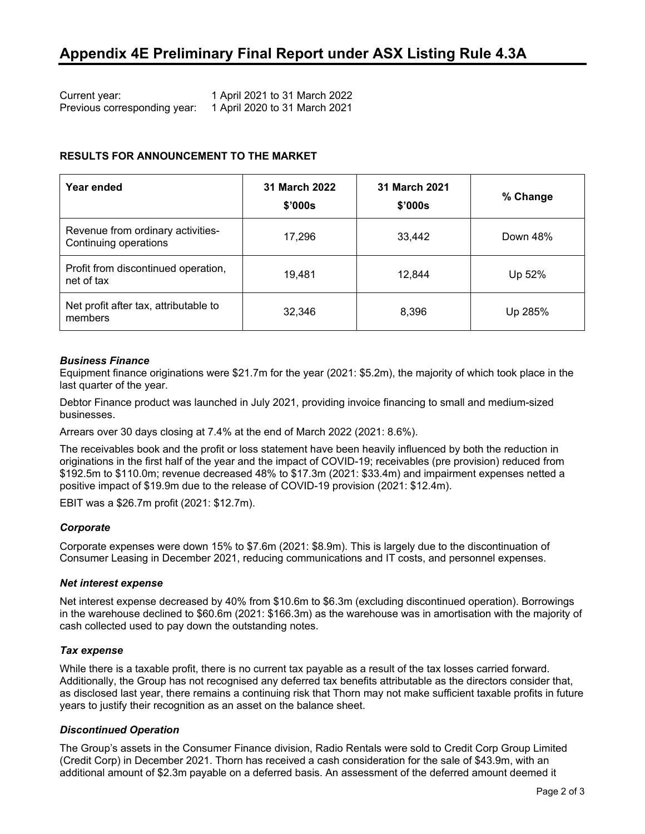| Current year:                | 1 April 2021 to 31 March 2022 |
|------------------------------|-------------------------------|
| Previous corresponding year: | 1 April 2020 to 31 March 2021 |

#### **RESULTS FOR ANNOUNCEMENT TO THE MARKET**

| Year ended                                                 | 31 March 2022<br>\$'000s | 31 March 2021<br>\$'000s | % Change |
|------------------------------------------------------------|--------------------------|--------------------------|----------|
| Revenue from ordinary activities-<br>Continuing operations | 17,296                   | 33,442                   | Down 48% |
| Profit from discontinued operation,<br>net of tax          | 19,481                   | 12,844                   | Up 52%   |
| Net profit after tax, attributable to<br>members           | 32,346                   | 8,396                    | Up 285%  |

#### *Business Finance*

Equipment finance originations were \$21.7m for the year (2021: \$5.2m), the majority of which took place in the last quarter of the year.

Debtor Finance product was launched in July 2021, providing invoice financing to small and medium-sized businesses.

Arrears over 30 days closing at 7.4% at the end of March 2022 (2021: 8.6%).

The receivables book and the profit or loss statement have been heavily influenced by both the reduction in originations in the first half of the year and the impact of COVID-19; receivables (pre provision) reduced from \$192.5m to \$110.0m; revenue decreased 48% to \$17.3m (2021: \$33.4m) and impairment expenses netted a positive impact of \$19.9m due to the release of COVID-19 provision (2021: \$12.4m).

EBIT was a \$26.7m profit (2021: \$12.7m).

#### *Corporate*

Corporate expenses were down 15% to \$7.6m (2021: \$8.9m). This is largely due to the discontinuation of Consumer Leasing in December 2021, reducing communications and IT costs, and personnel expenses.

#### *Net interest expense*

Net interest expense decreased by 40% from \$10.6m to \$6.3m (excluding discontinued operation). Borrowings in the warehouse declined to \$60.6m (2021: \$166.3m) as the warehouse was in amortisation with the majority of cash collected used to pay down the outstanding notes.

#### *Tax expense*

While there is a taxable profit, there is no current tax payable as a result of the tax losses carried forward. Additionally, the Group has not recognised any deferred tax benefits attributable as the directors consider that, as disclosed last year, there remains a continuing risk that Thorn may not make sufficient taxable profits in future years to justify their recognition as an asset on the balance sheet.

#### *Discontinued Operation*

The Group's assets in the Consumer Finance division, Radio Rentals were sold to Credit Corp Group Limited (Credit Corp) in December 2021. Thorn has received a cash consideration for the sale of \$43.9m, with an additional amount of \$2.3m payable on a deferred basis. An assessment of the deferred amount deemed it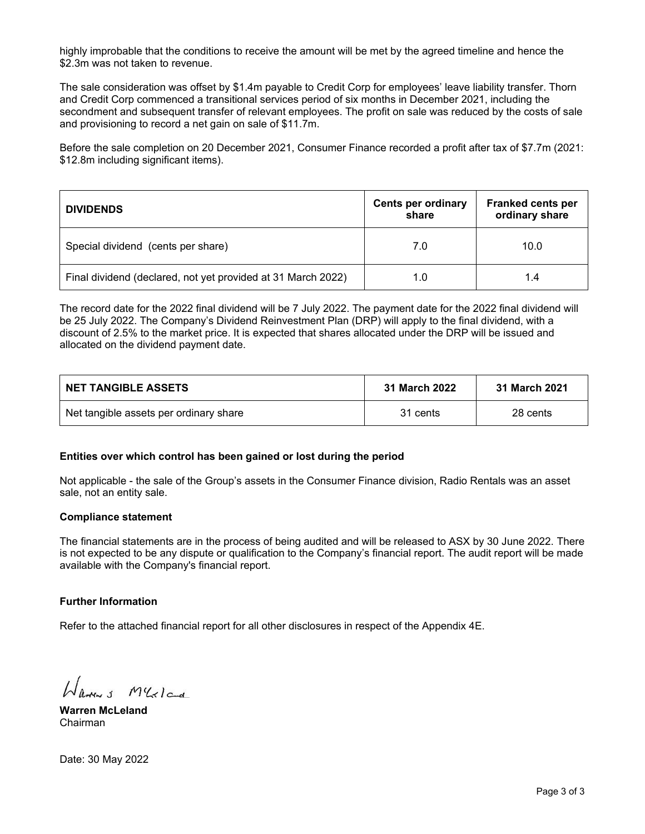highly improbable that the conditions to receive the amount will be met by the agreed timeline and hence the \$2.3m was not taken to revenue.

The sale consideration was offset by \$1.4m payable to Credit Corp for employees' leave liability transfer. Thorn and Credit Corp commenced a transitional services period of six months in December 2021, including the secondment and subsequent transfer of relevant employees. The profit on sale was reduced by the costs of sale and provisioning to record a net gain on sale of \$11.7m.

Before the sale completion on 20 December 2021, Consumer Finance recorded a profit after tax of \$7.7m (2021: \$12.8m including significant items).

| <b>DIVIDENDS</b>                                             | <b>Cents per ordinary</b><br>share | <b>Franked cents per</b><br>ordinary share |
|--------------------------------------------------------------|------------------------------------|--------------------------------------------|
| Special dividend (cents per share)                           | 7.0                                | 10.0                                       |
| Final dividend (declared, not yet provided at 31 March 2022) | 1.0                                | 1.4                                        |

The record date for the 2022 final dividend will be 7 July 2022. The payment date for the 2022 final dividend will be 25 July 2022. The Company's Dividend Reinvestment Plan (DRP) will apply to the final dividend, with a discount of 2.5% to the market price. It is expected that shares allocated under the DRP will be issued and allocated on the dividend payment date.

| <b>NET TANGIBLE ASSETS</b>             | 31 March 2022 | 31 March 2021 |
|----------------------------------------|---------------|---------------|
| Net tangible assets per ordinary share | 31 cents      | 28 cents      |

#### **Entities over which control has been gained or lost during the period**

Not applicable - the sale of the Group's assets in the Consumer Finance division, Radio Rentals was an asset sale, not an entity sale.

#### **Compliance statement**

The financial statements are in the process of being audited and will be released to ASX by 30 June 2022. There is not expected to be any dispute or qualification to the Company's financial report. The audit report will be made available with the Company's financial report.

#### **Further Information**

Refer to the attached financial report for all other disclosures in respect of the Appendix 4E.

Harry M'Golca

**Warren McLeland** Chairman

Date: 30 May 2022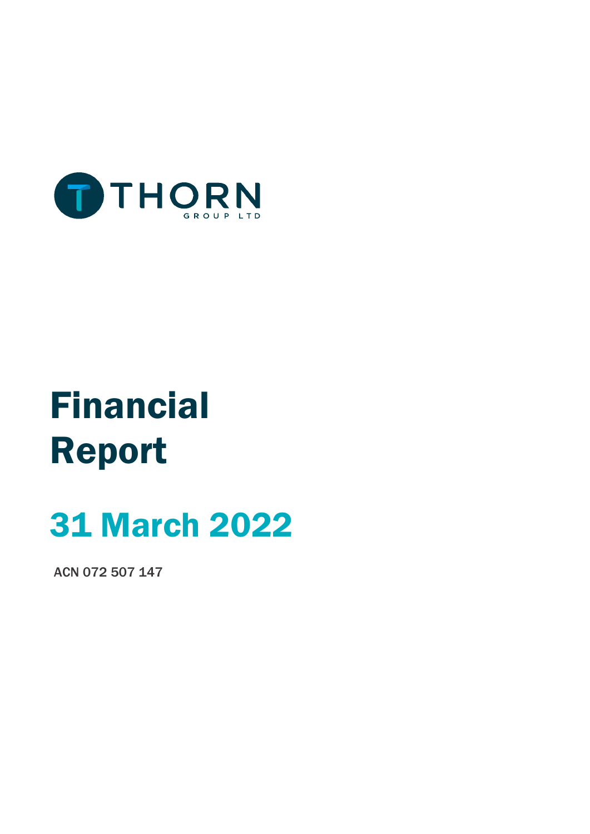

# Financial Report

# 31 March 2022

ACN 072 507 147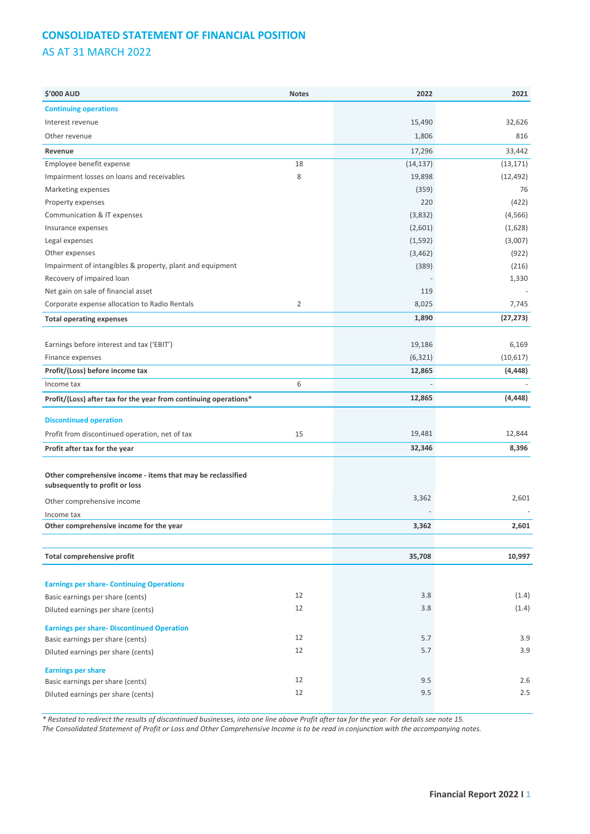# **CONSOLIDATED STATEMENT OF FINANCIAL POSITION** AS AT 31 MARCH 2022

| \$'000 AUD                                                                                    | <b>Notes</b>   | 2022                     | 2021      |
|-----------------------------------------------------------------------------------------------|----------------|--------------------------|-----------|
| <b>Continuing operations</b>                                                                  |                |                          |           |
| Interest revenue                                                                              |                | 15,490                   | 32,626    |
| Other revenue                                                                                 |                | 1,806                    | 816       |
| Revenue                                                                                       |                | 17,296                   | 33,442    |
| Employee benefit expense                                                                      | 18             | (14, 137)                | (13, 171) |
| Impairment losses on loans and receivables                                                    | 8              | 19,898                   | (12, 492) |
| Marketing expenses                                                                            |                | (359)                    | 76        |
| Property expenses                                                                             |                | 220                      | (422)     |
| Communication & IT expenses                                                                   |                | (3,832)                  | (4, 566)  |
| Insurance expenses                                                                            |                | (2,601)                  | (1,628)   |
| Legal expenses                                                                                |                | (1, 592)                 | (3,007)   |
| Other expenses                                                                                |                | (3, 462)                 | (922)     |
| Impairment of intangibles & property, plant and equipment                                     |                | (389)                    | (216)     |
| Recovery of impaired loan                                                                     |                |                          | 1,330     |
| Net gain on sale of financial asset                                                           |                | 119                      |           |
| Corporate expense allocation to Radio Rentals                                                 | $\overline{2}$ | 8,025                    | 7,745     |
| <b>Total operating expenses</b>                                                               |                | 1,890                    | (27, 273) |
|                                                                                               |                |                          |           |
| Earnings before interest and tax ('EBIT')                                                     |                | 19,186                   | 6,169     |
| Finance expenses                                                                              |                | (6, 321)                 | (10,617)  |
| Profit/(Loss) before income tax                                                               |                | 12,865                   | (4, 448)  |
| Income tax                                                                                    | 6              | $\overline{\phantom{a}}$ |           |
| Profit/(Loss) after tax for the year from continuing operations*                              |                | 12,865                   | (4, 448)  |
| <b>Discontinued operation</b>                                                                 |                |                          |           |
| Profit from discontinued operation, net of tax                                                | 15             | 19,481                   | 12,844    |
| Profit after tax for the year                                                                 |                | 32,346                   | 8,396     |
|                                                                                               |                |                          |           |
| Other comprehensive income - items that may be reclassified<br>subsequently to profit or loss |                |                          |           |
| Other comprehensive income                                                                    |                | 3,362                    | 2,601     |
| Income tax                                                                                    |                |                          |           |
| Other comprehensive income for the year                                                       |                | 3,362                    | 2,601     |
|                                                                                               |                |                          |           |
| Total comprehensive profit                                                                    |                | 35,708                   | 10,997    |
|                                                                                               |                |                          |           |
| <b>Earnings per share- Continuing Operations</b>                                              |                |                          |           |
| Basic earnings per share (cents)                                                              | 12             | 3.8                      | (1.4)     |
| Diluted earnings per share (cents)                                                            | 12             | 3.8                      | (1.4)     |
| <b>Earnings per share- Discontinued Operation</b>                                             |                |                          |           |
| Basic earnings per share (cents)                                                              | 12             | 5.7                      | 3.9       |
| Diluted earnings per share (cents)                                                            | 12             | 5.7                      | 3.9       |
| <b>Earnings per share</b>                                                                     |                |                          |           |
| Basic earnings per share (cents)                                                              | 12             | 9.5                      | 2.6       |
| Diluted earnings per share (cents)                                                            | 12             | 9.5                      | 2.5       |
|                                                                                               |                |                          |           |

*\* Restated to redirect the results of discontinued businesses, into one line above Profit after tax for the year. For details see note 15.*

*The Consolidated Statement of Profit or Loss and Other Comprehensive Income is to be read in conjunction with the accompanying notes.*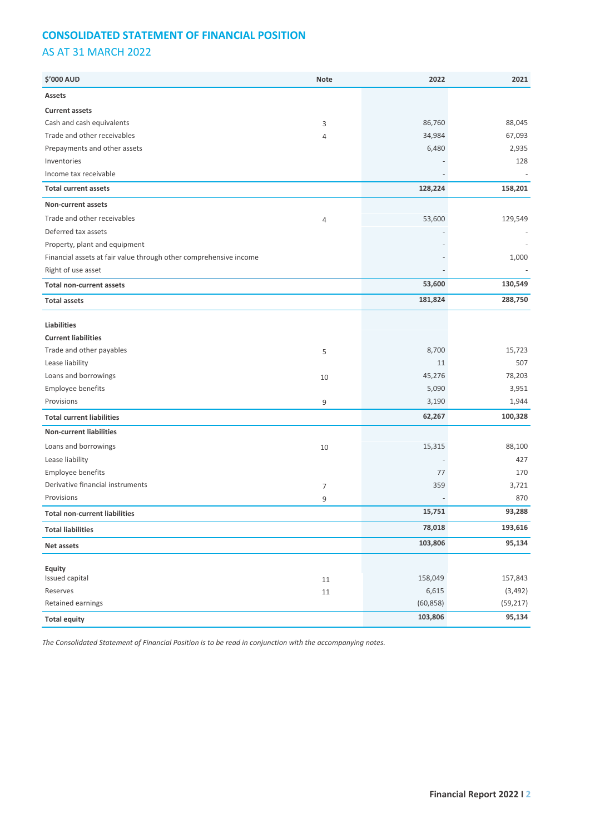# **CONSOLIDATED STATEMENT OF FINANCIAL POSITION** AS AT 31 MARCH 2022

| Assets<br><b>Current assets</b><br>Cash and cash equivalents<br>86,760<br>88,045<br>3<br>Trade and other receivables<br>67,093<br>34,984<br>$\overline{4}$<br>Prepayments and other assets<br>6,480<br>2,935<br>Inventories<br>128<br>Income tax receivable |
|-------------------------------------------------------------------------------------------------------------------------------------------------------------------------------------------------------------------------------------------------------------|
|                                                                                                                                                                                                                                                             |
|                                                                                                                                                                                                                                                             |
|                                                                                                                                                                                                                                                             |
|                                                                                                                                                                                                                                                             |
|                                                                                                                                                                                                                                                             |
|                                                                                                                                                                                                                                                             |
|                                                                                                                                                                                                                                                             |
| 158,201<br>128,224<br><b>Total current assets</b>                                                                                                                                                                                                           |
| Non-current assets                                                                                                                                                                                                                                          |
| Trade and other receivables<br>129,549<br>53,600<br>$\overline{4}$                                                                                                                                                                                          |
| Deferred tax assets                                                                                                                                                                                                                                         |
| Property, plant and equipment                                                                                                                                                                                                                               |
| Financial assets at fair value through other comprehensive income<br>1,000                                                                                                                                                                                  |
| Right of use asset                                                                                                                                                                                                                                          |
| 130,549<br>53,600<br><b>Total non-current assets</b>                                                                                                                                                                                                        |
| 288,750<br>181,824<br><b>Total assets</b>                                                                                                                                                                                                                   |
|                                                                                                                                                                                                                                                             |
| <b>Liabilities</b>                                                                                                                                                                                                                                          |
| <b>Current liabilities</b>                                                                                                                                                                                                                                  |
| Trade and other payables<br>8,700<br>15,723<br>5                                                                                                                                                                                                            |
| Lease liability<br>507<br>11                                                                                                                                                                                                                                |
| Loans and borrowings<br>78,203<br>45,276<br>10                                                                                                                                                                                                              |
| Employee benefits<br>5,090<br>3,951                                                                                                                                                                                                                         |
| Provisions<br>3,190<br>1,944<br>9                                                                                                                                                                                                                           |
| 100,328<br>62,267<br><b>Total current liabilities</b>                                                                                                                                                                                                       |
| <b>Non-current liabilities</b>                                                                                                                                                                                                                              |
| Loans and borrowings<br>88,100<br>15,315<br>10                                                                                                                                                                                                              |
| Lease liability<br>427                                                                                                                                                                                                                                      |
| Employee benefits<br>77<br>170                                                                                                                                                                                                                              |
| Derivative financial instruments<br>359<br>3,721<br>$\overline{7}$                                                                                                                                                                                          |
| Provisions<br>870<br>9                                                                                                                                                                                                                                      |
| 15,751<br>93,288<br><b>Total non-current liabilities</b>                                                                                                                                                                                                    |
| 193,616<br>78,018<br><b>Total liabilities</b>                                                                                                                                                                                                               |
| 95,134<br>103,806<br>Net assets                                                                                                                                                                                                                             |
|                                                                                                                                                                                                                                                             |
| Equity<br>Issued capital<br>157,843<br>158,049                                                                                                                                                                                                              |
| 11<br>Reserves<br>6,615<br>(3, 492)                                                                                                                                                                                                                         |
| $11\,$<br>Retained earnings<br>(60, 858)<br>(59, 217)                                                                                                                                                                                                       |
| 95,134<br>103,806<br><b>Total equity</b>                                                                                                                                                                                                                    |

*The Consolidated Statement of Financial Position is to be read in conjunction with the accompanying notes.*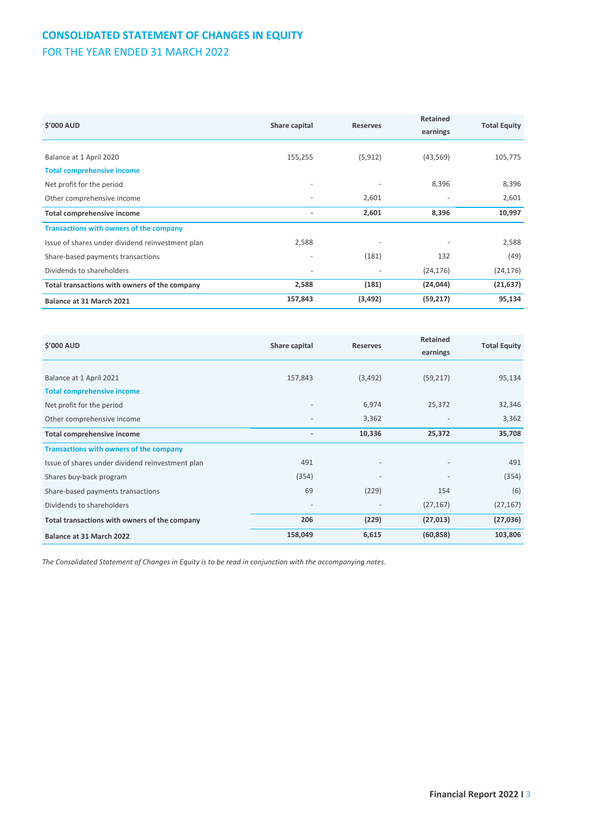# **CONSOLIDATED STATEMENT OF CHANGES IN EQUITY**

FOR THE YEAR ENDED 31 MARCH 2022

| \$'000 AUD                                       | Share capital | <b>Reserves</b>          | <b>Retained</b><br>earnings | <b>Total Equity</b> |
|--------------------------------------------------|---------------|--------------------------|-----------------------------|---------------------|
|                                                  |               |                          |                             |                     |
| Balance at 1 April 2020                          | 155,255       | (5, 912)                 | (43, 569)                   | 105,775             |
| <b>Total comprehensive income</b>                |               |                          |                             |                     |
| Net profit for the period                        | ٠             |                          | 8,396                       | 8,396               |
| Other comprehensive income                       | ٠             | 2,601                    | $\overline{a}$              | 2,601               |
| <b>Total comprehensive income</b>                | ٠             | 2,601                    | 8,396                       | 10,997              |
| <b>Transactions with owners of the company</b>   |               |                          |                             |                     |
| Issue of shares under dividend reinvestment plan | 2,588         | $\overline{\phantom{a}}$ |                             | 2,588               |
| Share-based payments transactions                | ٠             | (181)                    | 132                         | (49)                |
| Dividends to shareholders                        | ٠             |                          | (24, 176)                   | (24, 176)           |
| Total transactions with owners of the company    | 2,588         | (181)                    | (24, 044)                   | (21, 637)           |
| Balance at 31 March 2021                         | 157,843       | (3, 492)                 | (59, 217)                   | 95,134              |

| \$'000 AUD<br>Share capital                      |                          | <b>Reserves</b>          | Retained                 | <b>Total Equity</b> |
|--------------------------------------------------|--------------------------|--------------------------|--------------------------|---------------------|
|                                                  |                          | earnings                 |                          |                     |
|                                                  |                          |                          |                          |                     |
| Balance at 1 April 2021                          | 157,843                  | (3, 492)                 | (59, 217)                | 95,134              |
| <b>Total comprehensive income</b>                |                          |                          |                          |                     |
| Net profit for the period                        | $\overline{\phantom{a}}$ | 6,974                    | 25,372                   | 32,346              |
| Other comprehensive income                       |                          | 3,362                    |                          | 3,362               |
| <b>Total comprehensive income</b>                |                          | 10,336                   | 25,372                   | 35,708              |
| <b>Transactions with owners of the company</b>   |                          |                          |                          |                     |
| Issue of shares under dividend reinvestment plan | 491                      | $\overline{\phantom{a}}$ | $\overline{\phantom{a}}$ | 491                 |
| Shares buy-back program                          | (354)                    | $\overline{\phantom{a}}$ |                          | (354)               |
| Share-based payments transactions                | 69                       | (229)                    | 154                      | (6)                 |
| Dividends to shareholders                        | $\overline{\phantom{a}}$ | $\overline{\phantom{a}}$ | (27, 167)                | (27, 167)           |
| Total transactions with owners of the company    | 206                      | (229)                    | (27, 013)                | (27, 036)           |
| Balance at 31 March 2022                         | 158,049                  | 6,615                    | (60, 858)                | 103,806             |

*The Consolidated Statement of Changes in Equity is to be read in conjunction with the accompanying notes.*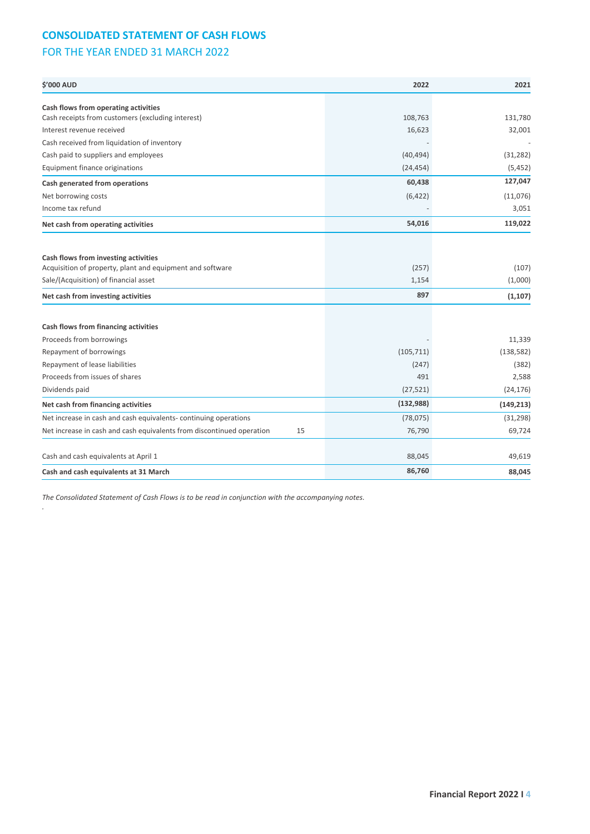## **CONSOLIDATED STATEMENT OF CASH FLOWS**

## FOR THE YEAR ENDED 31 MARCH 2022

| <b>\$'000 AUD</b>                                                                                 | 2022       | 2021       |
|---------------------------------------------------------------------------------------------------|------------|------------|
| Cash flows from operating activities                                                              |            |            |
| Cash receipts from customers (excluding interest)                                                 | 108,763    | 131,780    |
| Interest revenue received                                                                         | 16,623     | 32,001     |
| Cash received from liquidation of inventory                                                       |            |            |
| Cash paid to suppliers and employees                                                              | (40, 494)  | (31, 282)  |
| Equipment finance originations                                                                    | (24, 454)  | (5, 452)   |
| Cash generated from operations                                                                    | 60,438     | 127,047    |
| Net borrowing costs                                                                               | (6, 422)   | (11,076)   |
| Income tax refund                                                                                 |            | 3,051      |
| Net cash from operating activities                                                                | 54,016     | 119,022    |
|                                                                                                   |            |            |
| Cash flows from investing activities<br>Acquisition of property, plant and equipment and software | (257)      | (107)      |
| Sale/(Acquisition) of financial asset                                                             | 1,154      | (1,000)    |
| Net cash from investing activities                                                                | 897        | (1, 107)   |
|                                                                                                   |            |            |
| Cash flows from financing activities                                                              |            |            |
| Proceeds from borrowings                                                                          |            | 11,339     |
| Repayment of borrowings                                                                           | (105, 711) | (138, 582) |
| Repayment of lease liabilities                                                                    | (247)      | (382)      |
| Proceeds from issues of shares                                                                    | 491        | 2,588      |
| Dividends paid                                                                                    | (27, 521)  | (24, 176)  |
| Net cash from financing activities                                                                | (132, 988) | (149, 213) |
| Net increase in cash and cash equivalents-continuing operations                                   | (78, 075)  | (31, 298)  |
| Net increase in cash and cash equivalents from discontinued operation<br>15                       | 76,790     | 69,724     |
| Cash and cash equivalents at April 1                                                              | 88,045     | 49,619     |
| Cash and cash equivalents at 31 March                                                             | 86,760     | 88,045     |
|                                                                                                   |            |            |

*The Consolidated Statement of Cash Flows is to be read in conjunction with the accompanying notes.*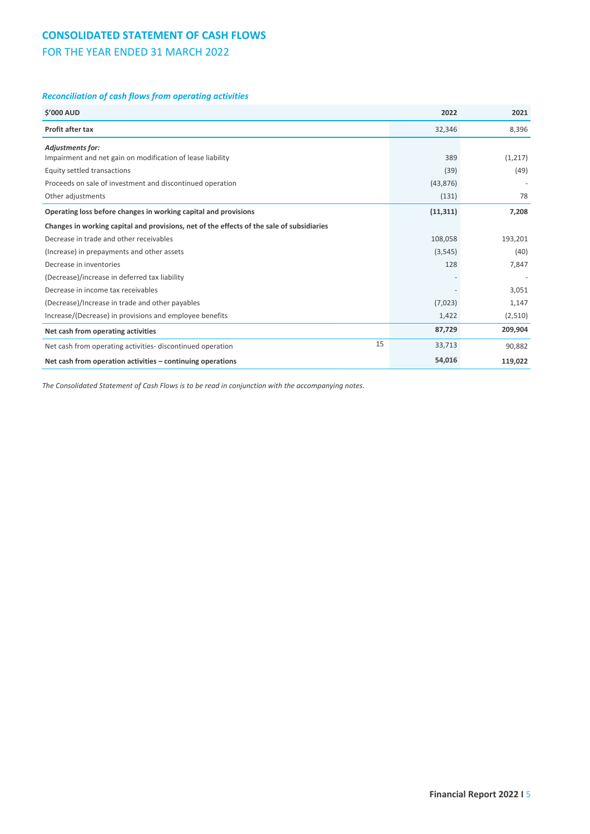## **CONSOLIDATED STATEMENT OF CASH FLOWS**

## FOR THE YEAR ENDED 31 MARCH 2022

### *Reconciliation of cash flows from operating activities*

| <b>S'000 AUD</b>                                                                          | 2022      | 2021    |
|-------------------------------------------------------------------------------------------|-----------|---------|
| <b>Profit after tax</b>                                                                   | 32,346    | 8,396   |
| <b>Adjustments for:</b>                                                                   |           |         |
| Impairment and net gain on modification of lease liability                                | 389       | (1,217) |
| Equity settled transactions                                                               | (39)      | (49)    |
| Proceeds on sale of investment and discontinued operation                                 | (43, 876) |         |
| Other adjustments                                                                         | (131)     | 78      |
| Operating loss before changes in working capital and provisions                           | (11, 311) | 7,208   |
| Changes in working capital and provisions, net of the effects of the sale of subsidiaries |           |         |
| Decrease in trade and other receivables                                                   | 108,058   | 193,201 |
| (Increase) in prepayments and other assets                                                | (3, 545)  | (40)    |
| Decrease in inventories                                                                   | 128       | 7,847   |
| (Decrease)/increase in deferred tax liability                                             |           |         |
| Decrease in income tax receivables                                                        |           | 3,051   |
| (Decrease)/Increase in trade and other payables                                           | (7,023)   | 1,147   |
| Increase/(Decrease) in provisions and employee benefits                                   | 1,422     | (2,510) |
| Net cash from operating activities                                                        | 87,729    | 209,904 |
| 15<br>Net cash from operating activities-discontinued operation                           | 33,713    | 90,882  |
| Net cash from operation activities – continuing operations                                | 54,016    | 119,022 |

*The Consolidated Statement of Cash Flows is to be read in conjunction with the accompanying notes.*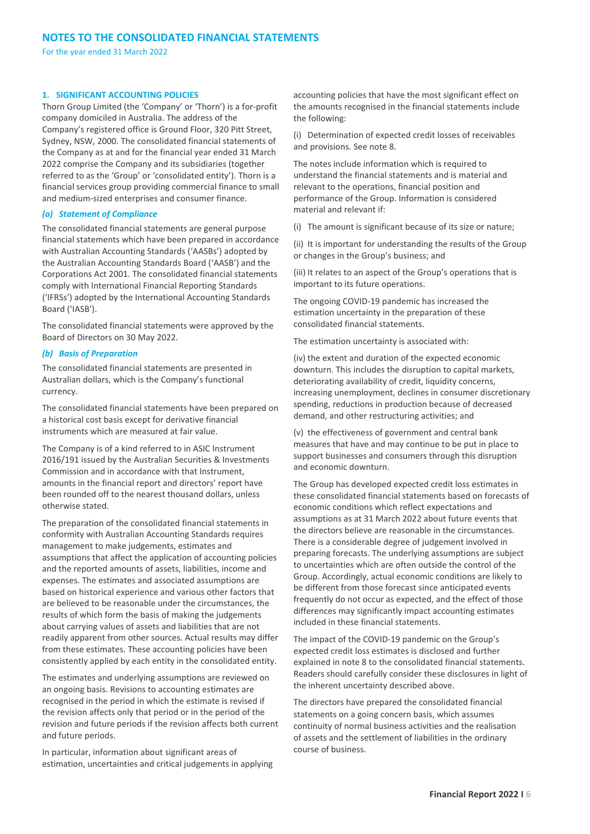#### **1. SIGNIFICANT ACCOUNTING POLICIES**

Thorn Group Limited (the 'Company' or 'Thorn') is a for-profit company domiciled in Australia. The address of the Company's registered office is Ground Floor, 320 Pitt Street, Sydney, NSW, 2000. The consolidated financial statements of the Company as at and for the financial year ended 31 March 2022 comprise the Company and its subsidiaries (together referred to as the 'Group' or 'consolidated entity'). Thorn is a financial services group providing commercial finance to small and medium-sized enterprises and consumer finance.

#### *(a) Statement of Compliance*

The consolidated financial statements are general purpose financial statements which have been prepared in accordance with Australian Accounting Standards ('AASBs') adopted by the Australian Accounting Standards Board ('AASB') and the Corporations Act 2001. The consolidated financial statements comply with International Financial Reporting Standards ('IFRSs') adopted by the International Accounting Standards Board ('IASB').

The consolidated financial statements were approved by the Board of Directors on 30 May 2022.

#### *(b) Basis of Preparation*

The consolidated financial statements are presented in Australian dollars, which is the Company's functional currency.

The consolidated financial statements have been prepared on a historical cost basis except for derivative financial instruments which are measured at fair value.

The Company is of a kind referred to in ASIC Instrument 2016/191 issued by the Australian Securities & Investments Commission and in accordance with that Instrument, amounts in the financial report and directors' report have been rounded off to the nearest thousand dollars, unless otherwise stated.

The preparation of the consolidated financial statements in conformity with Australian Accounting Standards requires management to make judgements, estimates and assumptions that affect the application of accounting policies and the reported amounts of assets, liabilities, income and expenses. The estimates and associated assumptions are based on historical experience and various other factors that are believed to be reasonable under the circumstances, the results of which form the basis of making the judgements about carrying values of assets and liabilities that are not readily apparent from other sources. Actual results may differ from these estimates. These accounting policies have been consistently applied by each entity in the consolidated entity.

The estimates and underlying assumptions are reviewed on an ongoing basis. Revisions to accounting estimates are recognised in the period in which the estimate is revised if the revision affects only that period or in the period of the revision and future periods if the revision affects both current and future periods.

In particular, information about significant areas of estimation, uncertainties and critical judgements in applying accounting policies that have the most significant effect on the amounts recognised in the financial statements include the following:

(i) Determination of expected credit losses of receivables and provisions. See note 8.

The notes include information which is required to understand the financial statements and is material and relevant to the operations, financial position and performance of the Group. Information is considered material and relevant if:

(i) The amount is significant because of its size or nature;

(ii) It is important for understanding the results of the Group or changes in the Group's business; and

(iii) It relates to an aspect of the Group's operations that is important to its future operations.

The ongoing COVID-19 pandemic has increased the estimation uncertainty in the preparation of these consolidated financial statements.

The estimation uncertainty is associated with:

(iv) the extent and duration of the expected economic downturn. This includes the disruption to capital markets, deteriorating availability of credit, liquidity concerns, increasing unemployment, declines in consumer discretionary spending, reductions in production because of decreased demand, and other restructuring activities; and

(v) the effectiveness of government and central bank measures that have and may continue to be put in place to support businesses and consumers through this disruption and economic downturn.

The Group has developed expected credit loss estimates in these consolidated financial statements based on forecasts of economic conditions which reflect expectations and assumptions as at 31 March 2022 about future events that the directors believe are reasonable in the circumstances. There is a considerable degree of judgement involved in preparing forecasts. The underlying assumptions are subject to uncertainties which are often outside the control of the Group. Accordingly, actual economic conditions are likely to be different from those forecast since anticipated events frequently do not occur as expected, and the effect of those differences may significantly impact accounting estimates included in these financial statements.

The impact of the COVID-19 pandemic on the Group's expected credit loss estimates is disclosed and further explained in note 8 to the consolidated financial statements. Readers should carefully consider these disclosures in light of the inherent uncertainty described above.

The directors have prepared the consolidated financial statements on a going concern basis, which assumes continuity of normal business activities and the realisation of assets and the settlement of liabilities in the ordinary course of business.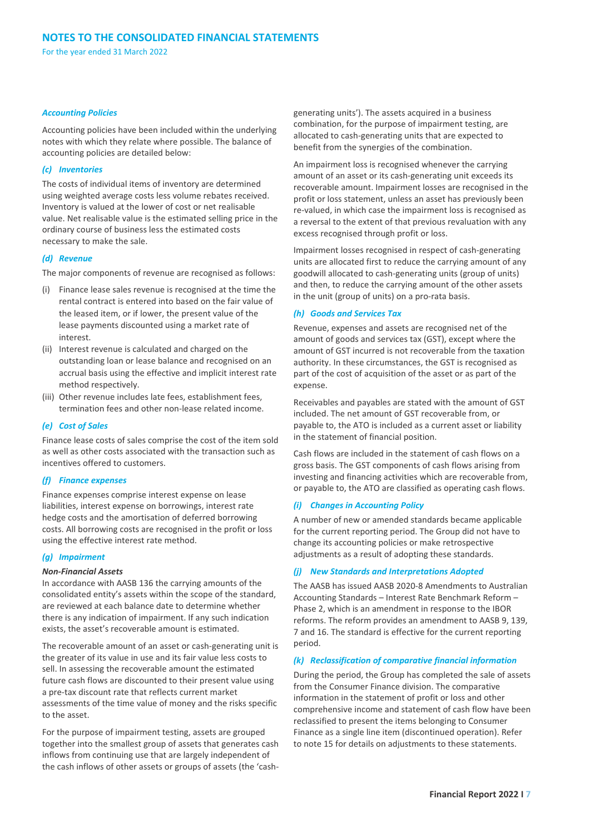#### *Accounting Policies*

Accounting policies have been included within the underlying notes with which they relate where possible. The balance of accounting policies are detailed below:

#### *(c) Inventories*

The costs of individual items of inventory are determined using weighted average costs less volume rebates received. Inventory is valued at the lower of cost or net realisable value. Net realisable value is the estimated selling price in the ordinary course of business less the estimated costs necessary to make the sale.

#### *(d) Revenue*

The major components of revenue are recognised as follows:

- (i) Finance lease sales revenue is recognised at the time the rental contract is entered into based on the fair value of the leased item, or if lower, the present value of the lease payments discounted using a market rate of interest.
- (ii) Interest revenue is calculated and charged on the outstanding loan or lease balance and recognised on an accrual basis using the effective and implicit interest rate method respectively.
- (iii) Other revenue includes late fees, establishment fees, termination fees and other non-lease related income.

#### *(e) Cost of Sales*

Finance lease costs of sales comprise the cost of the item sold as well as other costs associated with the transaction such as incentives offered to customers.

#### *(f) Finance expenses*

Finance expenses comprise interest expense on lease liabilities, interest expense on borrowings, interest rate hedge costs and the amortisation of deferred borrowing costs. All borrowing costs are recognised in the profit or loss using the effective interest rate method.

#### *(g) Impairment*

#### *Non-Financial Assets*

In accordance with AASB 136 the carrying amounts of the consolidated entity's assets within the scope of the standard, are reviewed at each balance date to determine whether there is any indication of impairment. If any such indication exists, the asset's recoverable amount is estimated.

The recoverable amount of an asset or cash-generating unit is the greater of its value in use and its fair value less costs to sell. In assessing the recoverable amount the estimated future cash flows are discounted to their present value using a pre-tax discount rate that reflects current market assessments of the time value of money and the risks specific to the asset.

For the purpose of impairment testing, assets are grouped together into the smallest group of assets that generates cash inflows from continuing use that are largely independent of the cash inflows of other assets or groups of assets (the 'cashgenerating units'). The assets acquired in a business combination, for the purpose of impairment testing, are allocated to cash-generating units that are expected to benefit from the synergies of the combination.

An impairment loss is recognised whenever the carrying amount of an asset or its cash-generating unit exceeds its recoverable amount. Impairment losses are recognised in the profit or loss statement, unless an asset has previously been re-valued, in which case the impairment loss is recognised as a reversal to the extent of that previous revaluation with any excess recognised through profit or loss.

Impairment losses recognised in respect of cash-generating units are allocated first to reduce the carrying amount of any goodwill allocated to cash-generating units (group of units) and then, to reduce the carrying amount of the other assets in the unit (group of units) on a pro-rata basis.

#### *(h) Goods and Services Tax*

Revenue, expenses and assets are recognised net of the amount of goods and services tax (GST), except where the amount of GST incurred is not recoverable from the taxation authority. In these circumstances, the GST is recognised as part of the cost of acquisition of the asset or as part of the expense.

Receivables and payables are stated with the amount of GST included. The net amount of GST recoverable from, or payable to, the ATO is included as a current asset or liability in the statement of financial position.

Cash flows are included in the statement of cash flows on a gross basis. The GST components of cash flows arising from investing and financing activities which are recoverable from, or payable to, the ATO are classified as operating cash flows.

#### *(i) Changes in Accounting Policy*

A number of new or amended standards became applicable for the current reporting period. The Group did not have to change its accounting policies or make retrospective adjustments as a result of adopting these standards.

#### *(j) New Standards and Interpretations Adopted*

The AASB has issued AASB 2020-8 Amendments to Australian Accounting Standards – Interest Rate Benchmark Reform – Phase 2, which is an amendment in response to the IBOR reforms. The reform provides an amendment to AASB 9, 139, 7 and 16. The standard is effective for the current reporting period.

#### *(k) Reclassification of comparative financial information*

During the period, the Group has completed the sale of assets from the Consumer Finance division. The comparative information in the statement of profit or loss and other comprehensive income and statement of cash flow have been reclassified to present the items belonging to Consumer Finance as a single line item (discontinued operation). Refer to note 15 for details on adjustments to these statements.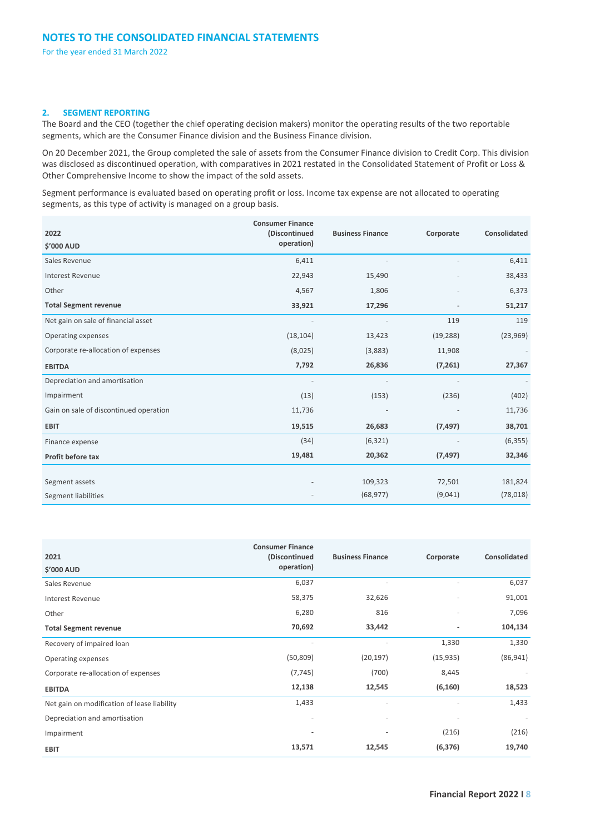#### **2. SEGMENT REPORTING**

The Board and the CEO (together the chief operating decision makers) monitor the operating results of the two reportable segments, which are the Consumer Finance division and the Business Finance division.

On 20 December 2021, the Group completed the sale of assets from the Consumer Finance division to Credit Corp. This division was disclosed as discontinued operation, with comparatives in 2021 restated in the Consolidated Statement of Profit or Loss & Other Comprehensive Income to show the impact of the sold assets.

Segment performance is evaluated based on operating profit or loss. Income tax expense are not allocated to operating segments, as this type of activity is managed on a group basis.

| 2022<br>\$'000 AUD                     | <b>Consumer Finance</b><br>(Discontinued<br>operation) | <b>Business Finance</b> | Corporate | Consolidated |
|----------------------------------------|--------------------------------------------------------|-------------------------|-----------|--------------|
| Sales Revenue                          | 6,411                                                  |                         |           | 6,411        |
| <b>Interest Revenue</b>                | 22,943                                                 | 15,490                  |           | 38,433       |
| Other                                  | 4,567                                                  | 1,806                   |           | 6,373        |
| <b>Total Segment revenue</b>           | 33,921                                                 | 17,296                  |           | 51,217       |
| Net gain on sale of financial asset    |                                                        |                         | 119       | 119          |
| Operating expenses                     | (18, 104)                                              | 13,423                  | (19, 288) | (23,969)     |
| Corporate re-allocation of expenses    | (8,025)                                                | (3,883)                 | 11,908    |              |
| <b>EBITDA</b>                          | 7,792                                                  | 26,836                  | (7, 261)  | 27,367       |
| Depreciation and amortisation          |                                                        |                         |           |              |
| Impairment                             | (13)                                                   | (153)                   | (236)     | (402)        |
| Gain on sale of discontinued operation | 11,736                                                 |                         |           | 11,736       |
| <b>EBIT</b>                            | 19,515                                                 | 26,683                  | (7, 497)  | 38,701       |
| Finance expense                        | (34)                                                   | (6, 321)                |           | (6, 355)     |
| Profit before tax                      | 19,481                                                 | 20,362                  | (7, 497)  | 32,346       |
|                                        |                                                        |                         |           |              |
| Segment assets                         |                                                        | 109,323                 | 72,501    | 181,824      |
| <b>Segment liabilities</b>             |                                                        | (68, 977)               | (9,041)   | (78, 018)    |

|                                             | <b>Consumer Finance</b>  |                          |           |                          |
|---------------------------------------------|--------------------------|--------------------------|-----------|--------------------------|
| 2021                                        | (Discontinued            | <b>Business Finance</b>  | Corporate | Consolidated             |
| \$'000 AUD                                  | operation)               |                          |           |                          |
| Sales Revenue                               | 6,037                    | $\overline{\phantom{a}}$ | ٠         | 6,037                    |
| Interest Revenue                            | 58,375                   | 32,626                   |           | 91,001                   |
| Other                                       | 6,280                    | 816                      |           | 7,096                    |
| <b>Total Segment revenue</b>                | 70,692                   | 33,442                   | ٠         | 104,134                  |
| Recovery of impaired loan                   |                          |                          | 1,330     | 1,330                    |
| Operating expenses                          | (50, 809)                | (20, 197)                | (15, 935) | (86, 941)                |
| Corporate re-allocation of expenses         | (7, 745)                 | (700)                    | 8,445     |                          |
| <b>EBITDA</b>                               | 12,138                   | 12,545                   | (6, 160)  | 18,523                   |
| Net gain on modification of lease liability | 1,433                    | $\overline{\phantom{a}}$ | ٠         | 1,433                    |
| Depreciation and amortisation               | $\overline{\phantom{a}}$ | $\overline{\phantom{a}}$ |           | $\overline{\phantom{a}}$ |
| Impairment                                  |                          | ٠                        | (216)     | (216)                    |
| <b>EBIT</b>                                 | 13,571                   | 12,545                   | (6, 376)  | 19,740                   |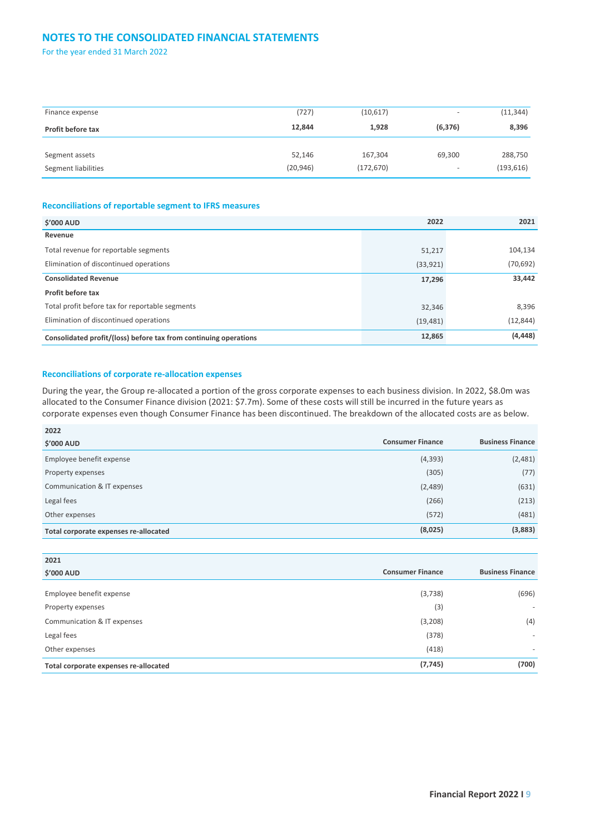## **NOTES TO THE CONSOLIDATED FINANCIAL STATEMENTS**

For the year ended 31 March 2022

| Finance expense     | (727)     | (10,617)   | ٠                        | (11, 344)  |
|---------------------|-----------|------------|--------------------------|------------|
| Profit before tax   | 12,844    | 1,928      | (6, 376)                 | 8,396      |
|                     |           |            |                          |            |
| Segment assets      | 52,146    | 167,304    | 69,300                   | 288,750    |
| Segment liabilities | (20, 946) | (172, 670) | $\overline{\phantom{0}}$ | (193, 616) |

#### **Reconciliations of reportable segment to IFRS measures**

| <b>\$'000 AUD</b>                                                | 2022      | 2021      |
|------------------------------------------------------------------|-----------|-----------|
| Revenue                                                          |           |           |
| Total revenue for reportable segments                            | 51,217    | 104,134   |
| Elimination of discontinued operations                           | (33, 921) | (70, 692) |
| <b>Consolidated Revenue</b>                                      | 17,296    | 33,442    |
| Profit before tax                                                |           |           |
| Total profit before tax for reportable segments                  | 32,346    | 8,396     |
| Elimination of discontinued operations                           | (19, 481) | (12, 844) |
| Consolidated profit/(loss) before tax from continuing operations | 12,865    | (4, 448)  |

#### **Reconciliations of corporate re-allocation expenses**

During the year, the Group re-allocated a portion of the gross corporate expenses to each business division. In 2022, \$8.0m was allocated to the Consumer Finance division (2021: \$7.7m). Some of these costs will still be incurred in the future years as corporate expenses even though Consumer Finance has been discontinued. The breakdown of the allocated costs are as below.

| 2022                                  |                         |                         |
|---------------------------------------|-------------------------|-------------------------|
| <b>\$'000 AUD</b>                     | <b>Consumer Finance</b> | <b>Business Finance</b> |
| Employee benefit expense              | (4, 393)                | (2,481)                 |
| Property expenses                     | (305)                   | (77)                    |
| Communication & IT expenses           | (2,489)                 | (631)                   |
| Legal fees                            | (266)                   | (213)                   |
| Other expenses                        | (572)                   | (481)                   |
| Total corporate expenses re-allocated | (8,025)                 | (3,883)                 |

| 2021                                  |                         |                          |
|---------------------------------------|-------------------------|--------------------------|
| <b>\$'000 AUD</b>                     | <b>Consumer Finance</b> | <b>Business Finance</b>  |
|                                       |                         |                          |
| Employee benefit expense              | (3,738)                 | (696)                    |
| Property expenses                     | (3)                     | ۰                        |
| Communication & IT expenses           | (3,208)                 | (4)                      |
| Legal fees                            | (378)                   | $\overline{\phantom{a}}$ |
| Other expenses                        | (418)                   | ۰                        |
| Total corporate expenses re-allocated | (7, 745)                | (700)                    |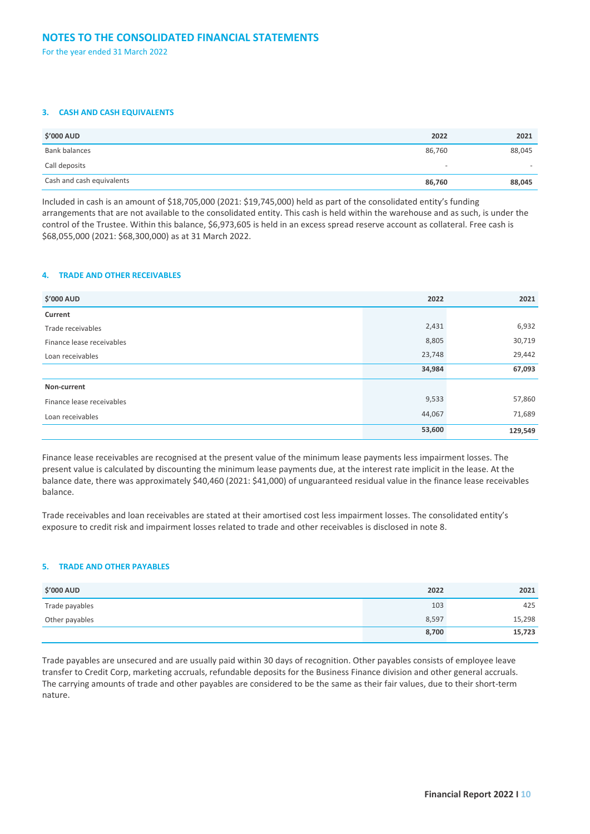#### **3. CASH AND CASH EQUIVALENTS**

| <b>\$'000 AUD</b>         | 2022                     | 2021                     |
|---------------------------|--------------------------|--------------------------|
| Bank balances             | 86,760                   | 88,045                   |
| Call deposits             | $\overline{\phantom{a}}$ | $\overline{\phantom{0}}$ |
| Cash and cash equivalents | 86,760                   | 88,045                   |

Included in cash is an amount of \$18,705,000 (2021: \$19,745,000) held as part of the consolidated entity's funding arrangements that are not available to the consolidated entity. This cash is held within the warehouse and as such, is under the control of the Trustee. Within this balance, \$6,973,605 is held in an excess spread reserve account as collateral. Free cash is \$68,055,000 (2021: \$68,300,000) as at 31 March 2022.

#### **4. TRADE AND OTHER RECEIVABLES**

| <b>\$'000 AUD</b>         | 2022   | 2021    |
|---------------------------|--------|---------|
| Current                   |        |         |
| Trade receivables         | 2,431  | 6,932   |
| Finance lease receivables | 8,805  | 30,719  |
| Loan receivables          | 23,748 | 29,442  |
|                           | 34,984 | 67,093  |
| Non-current               |        |         |
| Finance lease receivables | 9,533  | 57,860  |
| Loan receivables          | 44,067 | 71,689  |
|                           | 53,600 | 129,549 |

Finance lease receivables are recognised at the present value of the minimum lease payments less impairment losses. The present value is calculated by discounting the minimum lease payments due, at the interest rate implicit in the lease. At the balance date, there was approximately \$40,460 (2021: \$41,000) of unguaranteed residual value in the finance lease receivables balance.

Trade receivables and loan receivables are stated at their amortised cost less impairment losses. The consolidated entity's exposure to credit risk and impairment losses related to trade and other receivables is disclosed in note 8.

#### **5. TRADE AND OTHER PAYABLES**

| <b>\$'000 AUD</b> | 2022  | 2021   |
|-------------------|-------|--------|
| Trade payables    | 103   | 425    |
| Other payables    | 8,597 | 15,298 |
|                   | 8,700 | 15,723 |

Trade payables are unsecured and are usually paid within 30 days of recognition. Other payables consists of employee leave transfer to Credit Corp, marketing accruals, refundable deposits for the Business Finance division and other general accruals. The carrying amounts of trade and other payables are considered to be the same as their fair values, due to their short-term nature.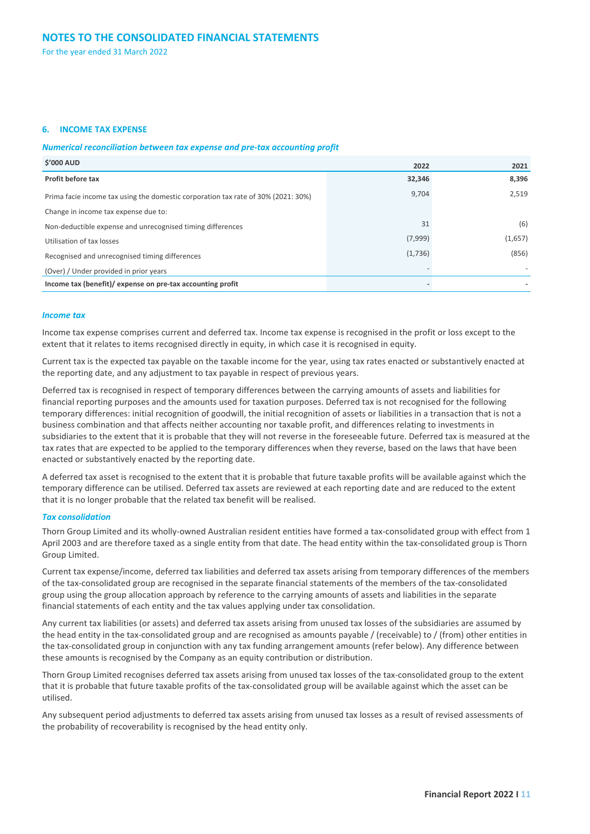#### **6. INCOME TAX EXPENSE**

#### *Numerical reconciliation between tax expense and pre-tax accounting profit*

| <b>S'000 AUD</b><br>2022                                                          |         | 2021    |
|-----------------------------------------------------------------------------------|---------|---------|
| Profit before tax                                                                 | 32,346  | 8,396   |
| Prima facie income tax using the domestic corporation tax rate of 30% (2021: 30%) | 9,704   | 2,519   |
| Change in income tax expense due to:                                              |         |         |
| Non-deductible expense and unrecognised timing differences                        | 31      | (6)     |
| Utilisation of tax losses                                                         | (7,999) | (1,657) |
| Recognised and unrecognised timing differences                                    | (1,736) | (856)   |
| (Over) / Under provided in prior years                                            |         |         |
| Income tax (benefit)/ expense on pre-tax accounting profit                        |         |         |

#### *Income tax*

Income tax expense comprises current and deferred tax. Income tax expense is recognised in the profit or loss except to the extent that it relates to items recognised directly in equity, in which case it is recognised in equity.

Current tax is the expected tax payable on the taxable income for the year, using tax rates enacted or substantively enacted at the reporting date, and any adjustment to tax payable in respect of previous years.

Deferred tax is recognised in respect of temporary differences between the carrying amounts of assets and liabilities for financial reporting purposes and the amounts used for taxation purposes. Deferred tax is not recognised for the following temporary differences: initial recognition of goodwill, the initial recognition of assets or liabilities in a transaction that is not a business combination and that affects neither accounting nor taxable profit, and differences relating to investments in subsidiaries to the extent that it is probable that they will not reverse in the foreseeable future. Deferred tax is measured at the tax rates that are expected to be applied to the temporary differences when they reverse, based on the laws that have been enacted or substantively enacted by the reporting date.

A deferred tax asset is recognised to the extent that it is probable that future taxable profits will be available against which the temporary difference can be utilised. Deferred tax assets are reviewed at each reporting date and are reduced to the extent that it is no longer probable that the related tax benefit will be realised.

#### *Tax consolidation*

Thorn Group Limited and its wholly-owned Australian resident entities have formed a tax-consolidated group with effect from 1 April 2003 and are therefore taxed as a single entity from that date. The head entity within the tax-consolidated group is Thorn Group Limited.

Current tax expense/income, deferred tax liabilities and deferred tax assets arising from temporary differences of the members of the tax-consolidated group are recognised in the separate financial statements of the members of the tax-consolidated group using the group allocation approach by reference to the carrying amounts of assets and liabilities in the separate financial statements of each entity and the tax values applying under tax consolidation.

Any current tax liabilities (or assets) and deferred tax assets arising from unused tax losses of the subsidiaries are assumed by the head entity in the tax-consolidated group and are recognised as amounts payable / (receivable) to / (from) other entities in the tax-consolidated group in conjunction with any tax funding arrangement amounts (refer below). Any difference between these amounts is recognised by the Company as an equity contribution or distribution.

Thorn Group Limited recognises deferred tax assets arising from unused tax losses of the tax-consolidated group to the extent that it is probable that future taxable profits of the tax-consolidated group will be available against which the asset can be utilised.

Any subsequent period adjustments to deferred tax assets arising from unused tax losses as a result of revised assessments of the probability of recoverability is recognised by the head entity only.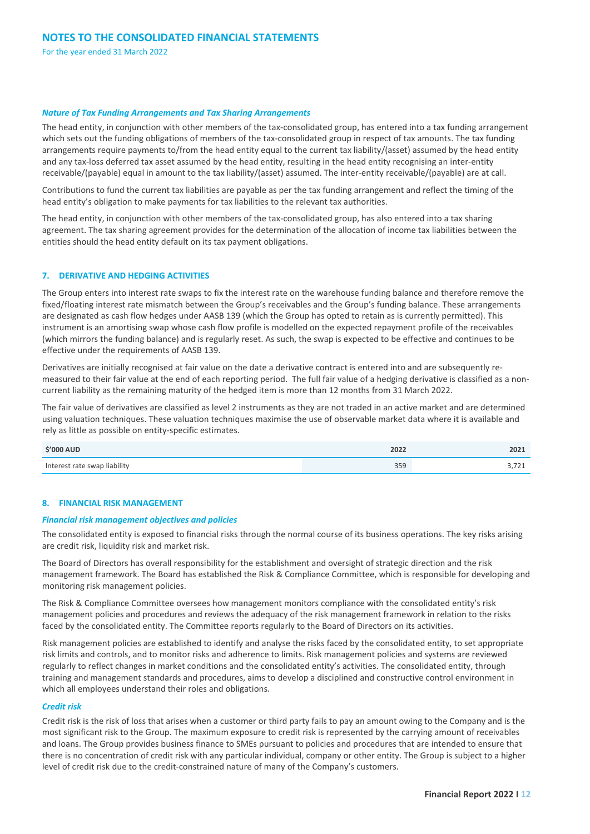#### *Nature of Tax Funding Arrangements and Tax Sharing Arrangements*

The head entity, in conjunction with other members of the tax-consolidated group, has entered into a tax funding arrangement which sets out the funding obligations of members of the tax-consolidated group in respect of tax amounts. The tax funding arrangements require payments to/from the head entity equal to the current tax liability/(asset) assumed by the head entity and any tax-loss deferred tax asset assumed by the head entity, resulting in the head entity recognising an inter-entity receivable/(payable) equal in amount to the tax liability/(asset) assumed. The inter-entity receivable/(payable) are at call.

Contributions to fund the current tax liabilities are payable as per the tax funding arrangement and reflect the timing of the head entity's obligation to make payments for tax liabilities to the relevant tax authorities.

The head entity, in conjunction with other members of the tax-consolidated group, has also entered into a tax sharing agreement. The tax sharing agreement provides for the determination of the allocation of income tax liabilities between the entities should the head entity default on its tax payment obligations.

#### **7. DERIVATIVE AND HEDGING ACTIVITIES**

The Group enters into interest rate swaps to fix the interest rate on the warehouse funding balance and therefore remove the fixed/floating interest rate mismatch between the Group's receivables and the Group's funding balance. These arrangements are designated as cash flow hedges under AASB 139 (which the Group has opted to retain as is currently permitted). This instrument is an amortising swap whose cash flow profile is modelled on the expected repayment profile of the receivables (which mirrors the funding balance) and is regularly reset. As such, the swap is expected to be effective and continues to be effective under the requirements of AASB 139.

Derivatives are initially recognised at fair value on the date a derivative contract is entered into and are subsequently remeasured to their fair value at the end of each reporting period. The full fair value of a hedging derivative is classified as a noncurrent liability as the remaining maturity of the hedged item is more than 12 months from 31 March 2022.

The fair value of derivatives are classified as level 2 instruments as they are not traded in an active market and are determined using valuation techniques. These valuation techniques maximise the use of observable market data where it is available and rely as little as possible on entity-specific estimates.

| <b>S'000 AUD</b>             | 2022 | 2021         |
|------------------------------|------|--------------|
| Interest rate swap liability | 359  | . <i>. .</i> |

#### **8. FINANCIAL RISK MANAGEMENT**

#### *Financial risk management objectives and policies*

The consolidated entity is exposed to financial risks through the normal course of its business operations. The key risks arising are credit risk, liquidity risk and market risk.

The Board of Directors has overall responsibility for the establishment and oversight of strategic direction and the risk management framework. The Board has established the Risk & Compliance Committee, which is responsible for developing and monitoring risk management policies.

The Risk & Compliance Committee oversees how management monitors compliance with the consolidated entity's risk management policies and procedures and reviews the adequacy of the risk management framework in relation to the risks faced by the consolidated entity. The Committee reports regularly to the Board of Directors on its activities.

Risk management policies are established to identify and analyse the risks faced by the consolidated entity, to set appropriate risk limits and controls, and to monitor risks and adherence to limits. Risk management policies and systems are reviewed regularly to reflect changes in market conditions and the consolidated entity's activities. The consolidated entity, through training and management standards and procedures, aims to develop a disciplined and constructive control environment in which all employees understand their roles and obligations.

#### *Credit risk*

Credit risk is the risk of loss that arises when a customer or third party fails to pay an amount owing to the Company and is the most significant risk to the Group. The maximum exposure to credit risk is represented by the carrying amount of receivables and loans. The Group provides business finance to SMEs pursuant to policies and procedures that are intended to ensure that there is no concentration of credit risk with any particular individual, company or other entity. The Group is subject to a higher level of credit risk due to the credit-constrained nature of many of the Company's customers.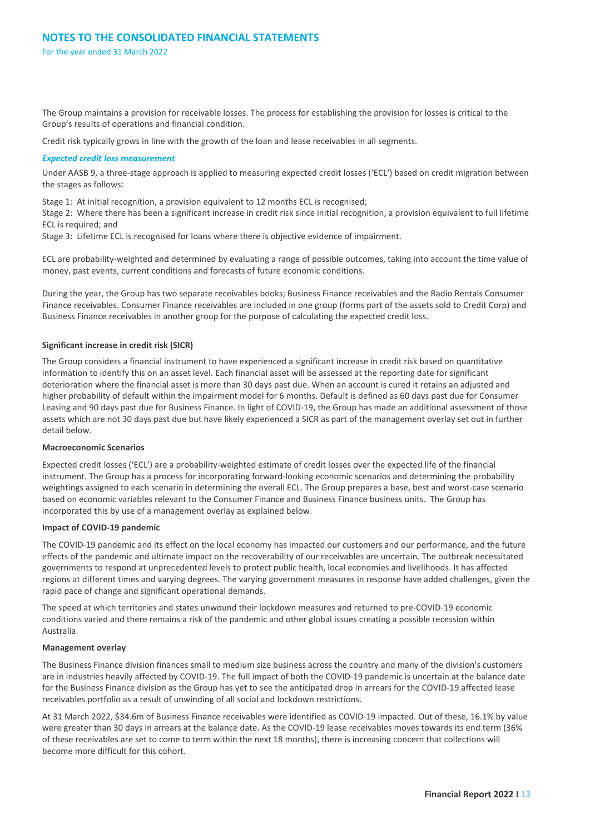The Group maintains a provision for receivable losses. The process for establishing the provision for losses is critical to the Group's results of operations and financial condition.

Credit risk typically grows in line with the growth of the loan and lease receivables in all segments.

#### *Expected credit loss measurement*

Under AASB 9, a three-stage approach is applied to measuring expected credit losses ('ECL') based on credit migration between the stages as follows:

Stage 1: At initial recognition, a provision equivalent to 12 months ECL is recognised;

Stage 2: Where there has been a significant increase in credit risk since initial recognition, a provision equivalent to full lifetime ECL is required; and

Stage 3: Lifetime ECL is recognised for loans where there is objective evidence of impairment.

ECL are probability-weighted and determined by evaluating a range of possible outcomes, taking into account the time value of money, past events, current conditions and forecasts of future economic conditions.

During the year, the Group has two separate receivables books; Business Finance receivables and the Radio Rentals Consumer Finance receivables. Consumer Finance receivables are included in one group (forms part of the assets sold to Credit Corp) and Business Finance receivables in another group for the purpose of calculating the expected credit loss.

#### **Significant increase in credit risk (SICR)**

The Group considers a financial instrument to have experienced a significant increase in credit risk based on quantitative information to identify this on an asset level. Each financial asset will be assessed at the reporting date for significant deterioration where the financial asset is more than 30 days past due. When an account is cured it retains an adjusted and higher probability of default within the impairment model for 6 months. Default is defined as 60 days past due for Consumer Leasing and 90 days past due for Business Finance. In light of COVID-19, the Group has made an additional assessment of those assets which are not 30 days past due but have likely experienced a SICR as part of the management overlay set out in further detail below.

#### **Macroeconomic Scenarios**

Expected credit losses ('ECL') are a probability-weighted estimate of credit losses over the expected life of the financial instrument. The Group has a process for incorporating forward-looking economic scenarios and determining the probability weightings assigned to each scenario in determining the overall ECL. The Group prepares a base, best and worst-case scenario based on economic variables relevant to the Consumer Finance and Business Finance business units. The Group has incorporated this by use of a management overlay as explained below.

#### **Impact of COVID-19 pandemic**

The COVID-19 pandemic and its effect on the local economy has impacted our customers and our performance, and the future effects of the pandemic and ultimate impact on the recoverability of our receivables are uncertain. The outbreak necessitated governments to respond at unprecedented levels to protect public health, local economies and livelihoods. It has affected regions at different times and varying degrees. The varying government measures in response have added challenges, given the rapid pace of change and significant operational demands.

The speed at which territories and states unwound their lockdown measures and returned to pre-COVID-19 economic conditions varied and there remains a risk of the pandemic and other global issues creating a possible recession within Australia.

#### **Management overlay**

The Business Finance division finances small to medium size business across the country and many of the division's customers are in industries heavily affected by COVID-19. The full impact of both the COVID-19 pandemic is uncertain at the balance date for the Business Finance division as the Group has yet to see the anticipated drop in arrears for the COVID-19 affected lease receivables portfolio as a result of unwinding of all social and lockdown restrictions.

At 31 March 2022, \$34.6m of Business Finance receivables were identified as COVID-19 impacted. Out of these, 16.1% by value were greater than 30 days in arrears at the balance date. As the COVID-19 lease receivables moves towards its end term (36% of these receivables are set to come to term within the next 18 months), there is increasing concern that collections will become more difficult for this cohort.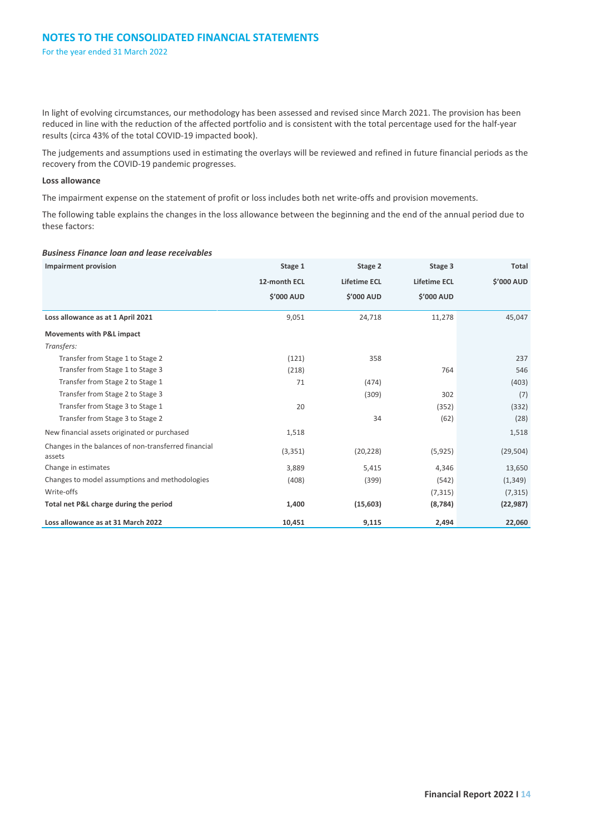In light of evolving circumstances, our methodology has been assessed and revised since March 2021. The provision has been reduced in line with the reduction of the affected portfolio and is consistent with the total percentage used for the half-year results (circa 43% of the total COVID-19 impacted book).

The judgements and assumptions used in estimating the overlays will be reviewed and refined in future financial periods as the recovery from the COVID-19 pandemic progresses.

#### **Loss allowance**

The impairment expense on the statement of profit or loss includes both net write-offs and provision movements.

The following table explains the changes in the loss allowance between the beginning and the end of the annual period due to these factors:

#### *Business Finance loan and lease receivables*

| <b>Impairment provision</b>                                    | Stage 1           | Stage 2             | Stage 3             | Total      |
|----------------------------------------------------------------|-------------------|---------------------|---------------------|------------|
|                                                                | 12-month ECL      | <b>Lifetime ECL</b> | <b>Lifetime ECL</b> | \$'000 AUD |
|                                                                | <b>\$'000 AUD</b> | <b>\$'000 AUD</b>   | <b>\$'000 AUD</b>   |            |
| Loss allowance as at 1 April 2021                              | 9,051             | 24,718              | 11,278              | 45,047     |
| <b>Movements with P&amp;L impact</b>                           |                   |                     |                     |            |
| Transfers:                                                     |                   |                     |                     |            |
| Transfer from Stage 1 to Stage 2                               | (121)             | 358                 |                     | 237        |
| Transfer from Stage 1 to Stage 3                               | (218)             |                     | 764                 | 546        |
| Transfer from Stage 2 to Stage 1                               | 71                | (474)               |                     | (403)      |
| Transfer from Stage 2 to Stage 3                               |                   | (309)               | 302                 | (7)        |
| Transfer from Stage 3 to Stage 1                               | 20                |                     | (352)               | (332)      |
| Transfer from Stage 3 to Stage 2                               |                   | 34                  | (62)                | (28)       |
| New financial assets originated or purchased                   | 1,518             |                     |                     | 1,518      |
| Changes in the balances of non-transferred financial<br>assets | (3, 351)          | (20, 228)           | (5, 925)            | (29, 504)  |
| Change in estimates                                            | 3,889             | 5,415               | 4,346               | 13,650     |
| Changes to model assumptions and methodologies                 | (408)             | (399)               | (542)               | (1, 349)   |
| Write-offs                                                     |                   |                     | (7, 315)            | (7, 315)   |
| Total net P&L charge during the period                         | 1,400             | (15, 603)           | (8, 784)            | (22, 987)  |
| Loss allowance as at 31 March 2022                             | 10,451            | 9,115               | 2,494               | 22,060     |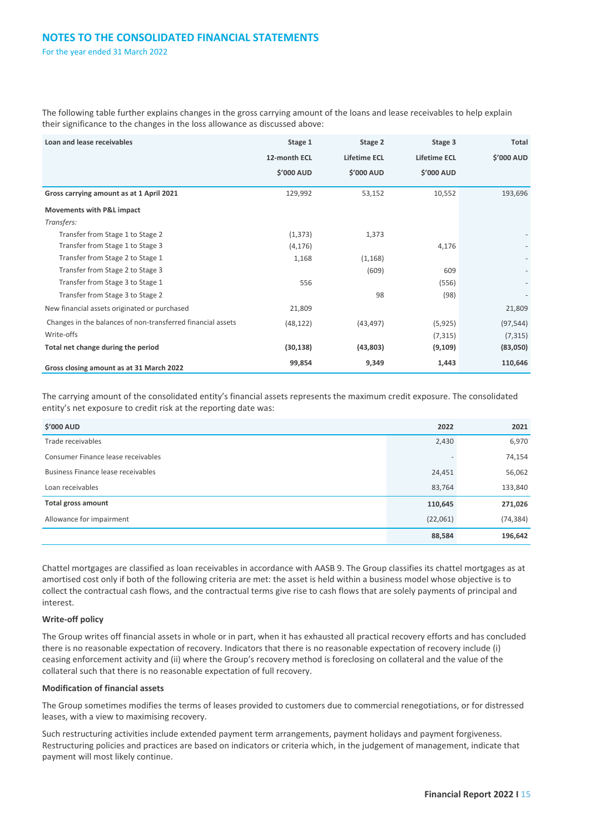The following table further explains changes in the gross carrying amount of the loans and lease receivables to help explain their significance to the changes in the loss allowance as discussed above:

| Loan and lease receivables                                  | Stage 1           | Stage 2             | Stage 3             | Total      |
|-------------------------------------------------------------|-------------------|---------------------|---------------------|------------|
|                                                             | 12-month ECL      | <b>Lifetime ECL</b> | <b>Lifetime ECL</b> | \$'000 AUD |
|                                                             | <b>\$'000 AUD</b> | \$'000 AUD          | \$'000 AUD          |            |
| Gross carrying amount as at 1 April 2021                    | 129,992           | 53,152              | 10,552              | 193,696    |
| <b>Movements with P&amp;L impact</b>                        |                   |                     |                     |            |
| Transfers:                                                  |                   |                     |                     |            |
| Transfer from Stage 1 to Stage 2                            | (1, 373)          | 1,373               |                     |            |
| Transfer from Stage 1 to Stage 3                            | (4, 176)          |                     | 4,176               |            |
| Transfer from Stage 2 to Stage 1                            | 1,168             | (1, 168)            |                     |            |
| Transfer from Stage 2 to Stage 3                            |                   | (609)               | 609                 |            |
| Transfer from Stage 3 to Stage 1                            | 556               |                     | (556)               |            |
| Transfer from Stage 3 to Stage 2                            |                   | 98                  | (98)                |            |
| New financial assets originated or purchased                | 21,809            |                     |                     | 21,809     |
| Changes in the balances of non-transferred financial assets | (48, 122)         | (43, 497)           | (5, 925)            | (97, 544)  |
| Write-offs                                                  |                   |                     | (7, 315)            | (7, 315)   |
| Total net change during the period                          | (30, 138)         | (43,803)            | (9, 109)            | (83,050)   |
| Gross closing amount as at 31 March 2022                    | 99,854            | 9,349               | 1,443               | 110,646    |

The carrying amount of the consolidated entity's financial assets represents the maximum credit exposure. The consolidated entity's net exposure to credit risk at the reporting date was:

| <b>\$'000 AUD</b>                  | 2022                     | 2021      |
|------------------------------------|--------------------------|-----------|
| Trade receivables                  | 2,430                    | 6,970     |
| Consumer Finance lease receivables | $\overline{\phantom{a}}$ | 74,154    |
| Business Finance lease receivables | 24,451                   | 56,062    |
| Loan receivables                   | 83,764                   | 133,840   |
| <b>Total gross amount</b>          | 110,645                  | 271,026   |
| Allowance for impairment           | (22,061)                 | (74, 384) |
|                                    | 88,584                   | 196,642   |

Chattel mortgages are classified as loan receivables in accordance with AASB 9. The Group classifies its chattel mortgages as at amortised cost only if both of the following criteria are met: the asset is held within a business model whose objective is to collect the contractual cash flows, and the contractual terms give rise to cash flows that are solely payments of principal and interest.

#### **Write-off policy**

The Group writes off financial assets in whole or in part, when it has exhausted all practical recovery efforts and has concluded there is no reasonable expectation of recovery. Indicators that there is no reasonable expectation of recovery include (i) ceasing enforcement activity and (ii) where the Group's recovery method is foreclosing on collateral and the value of the collateral such that there is no reasonable expectation of full recovery.

#### **Modification of financial assets**

The Group sometimes modifies the terms of leases provided to customers due to commercial renegotiations, or for distressed leases, with a view to maximising recovery.

Such restructuring activities include extended payment term arrangements, payment holidays and payment forgiveness. Restructuring policies and practices are based on indicators or criteria which, in the judgement of management, indicate that payment will most likely continue.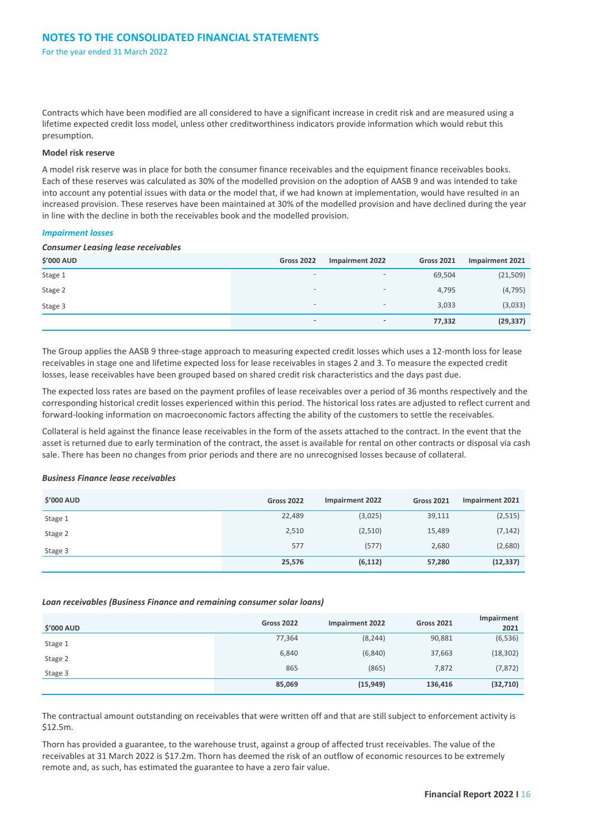Contracts which have been modified are all considered to have a significant increase in credit risk and are measured using a lifetime expected credit loss model, unless other creditworthiness indicators provide information which would rebut this presumption.

#### **Model risk reserve**

A model risk reserve was in place for both the consumer finance receivables and the equipment finance receivables books. Each of these reserves was calculated as 30% of the modelled provision on the adoption of AASB 9 and was intended to take into account any potential issues with data or the model that, if we had known at implementation, would have resulted in an increased provision. These reserves have been maintained at 30% of the modelled provision and have declined during the year in line with the decline in both the receivables book and the modelled provision.

#### *Impairment losses*

#### *Consumer Leasing lease receivables*

| <b>\$'000 AUD</b> | <b>Gross 2022</b>            | <b>Impairment 2022</b>       | <b>Gross 2021</b> | Impairment 2021 |
|-------------------|------------------------------|------------------------------|-------------------|-----------------|
| Stage 1           | $\overline{\phantom{0}}$     | $\overline{\phantom{0}}$     | 69,504            | (21, 509)       |
| Stage 2           | $\qquad \qquad \blacksquare$ | $\qquad \qquad \blacksquare$ | 4,795             | (4, 795)        |
| Stage 3           | $\overline{\phantom{0}}$     | $\qquad \qquad \blacksquare$ | 3,033             | (3,033)         |
|                   | $\overline{\phantom{a}}$     | $\overline{\phantom{a}}$     | 77,332            | (29, 337)       |

The Group applies the AASB 9 three-stage approach to measuring expected credit losses which uses a 12-month loss for lease receivables in stage one and lifetime expected loss for lease receivables in stages 2 and 3. To measure the expected credit losses, lease receivables have been grouped based on shared credit risk characteristics and the days past due.

The expected loss rates are based on the payment profiles of lease receivables over a period of 36 months respectively and the corresponding historical credit losses experienced within this period. The historical loss rates are adjusted to reflect current and forward-looking information on macroeconomic factors affecting the ability of the customers to settle the receivables.

Collateral is held against the finance lease receivables in the form of the assets attached to the contract. In the event that the asset is returned due to early termination of the contract, the asset is available for rental on other contracts or disposal via cash sale. There has been no changes from prior periods and there are no unrecognised losses because of collateral.

#### *Business Finance lease receivables*

| <b>\$'000 AUD</b> | <b>Gross 2022</b> | <b>Impairment 2022</b> | <b>Gross 2021</b> | <b>Impairment 2021</b> |
|-------------------|-------------------|------------------------|-------------------|------------------------|
| Stage 1           | 22,489            | (3,025)                | 39,111            | (2, 515)               |
| Stage 2           | 2,510             | (2,510)                | 15,489            | (7, 142)               |
| Stage 3           | 577               | (577)                  | 2,680             | (2,680)                |
|                   | 25,576            | (6, 112)               | 57,280            | (12, 337)              |

#### *Loan receivables (Business Finance and remaining consumer solar loans)*

| <b>\$'000 AUD</b> | <b>Gross 2022</b> | <b>Impairment 2022</b> | <b>Gross 2021</b> | Impairment<br>2021 |
|-------------------|-------------------|------------------------|-------------------|--------------------|
| Stage 1           | 77,364            | (8, 244)               | 90,881            | (6, 536)           |
| Stage 2           | 6,840             | (6, 840)               | 37,663            | (18, 302)          |
| Stage 3           | 865               | (865)                  | 7,872             | (7, 872)           |
|                   | 85,069            | (15, 949)              | 136,416           | (32, 710)          |

The contractual amount outstanding on receivables that were written off and that are still subject to enforcement activity is \$12.5m.

Thorn has provided a guarantee, to the warehouse trust, against a group of affected trust receivables. The value of the receivables at 31 March 2022 is \$17.2m. Thorn has deemed the risk of an outflow of economic resources to be extremely remote and, as such, has estimated the guarantee to have a zero fair value.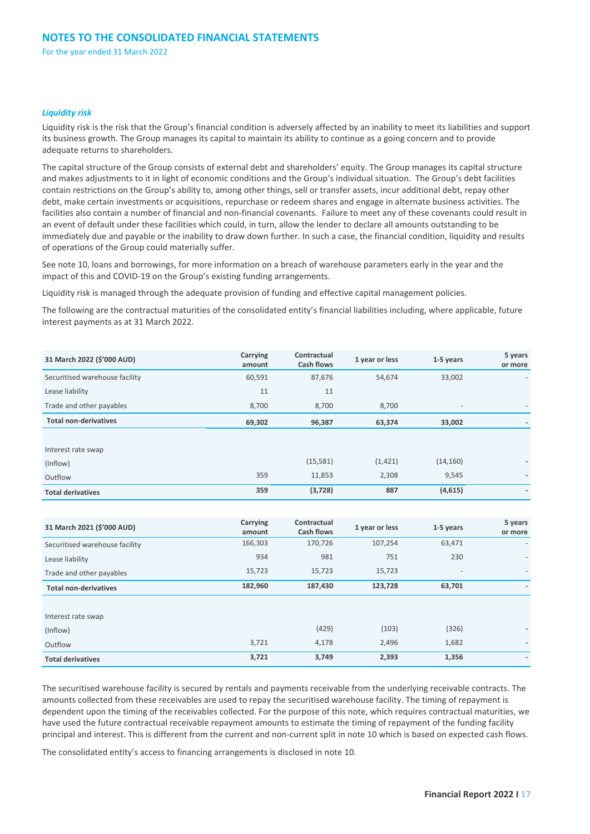#### *Liquidity risk*

Liquidity risk is the risk that the Group's financial condition is adversely affected by an inability to meet its liabilities and support its business growth. The Group manages its capital to maintain its ability to continue as a going concern and to provide adequate returns to shareholders.

The capital structure of the Group consists of external debt and shareholders' equity. The Group manages its capital structure and makes adjustments to it in light of economic conditions and the Group's individual situation. The Group's debt facilities contain restrictions on the Group's ability to, among other things, sell or transfer assets, incur additional debt, repay other debt, make certain investments or acquisitions, repurchase or redeem shares and engage in alternate business activities. The facilities also contain a number of financial and non-financial covenants. Failure to meet any of these covenants could result in an event of default under these facilities which could, in turn, allow the lender to declare all amounts outstanding to be immediately due and payable or the inability to draw down further. In such a case, the financial condition, liquidity and results of operations of the Group could materially suffer.

See note 10, loans and borrowings, for more information on a breach of warehouse parameters early in the year and the impact of this and COVID-19 on the Group's existing funding arrangements.

Liquidity risk is managed through the adequate provision of funding and effective capital management policies.

The following are the contractual maturities of the consolidated entity's financial liabilities including, where applicable, future interest payments as at 31 March 2022.

| 31 March 2022 (\$'000 AUD)     | Carrying<br>amount | Contractual<br><b>Cash flows</b> | 1 year or less | 1-5 years                | 5 years<br>or more |
|--------------------------------|--------------------|----------------------------------|----------------|--------------------------|--------------------|
| Securitised warehouse facility | 60,591             | 87,676                           | 54,674         | 33,002                   |                    |
| Lease liability                | 11                 | 11                               |                |                          |                    |
| Trade and other payables       | 8,700              | 8,700                            | 8,700          | $\overline{\phantom{a}}$ |                    |
| <b>Total non-derivatives</b>   | 69,302             | 96,387                           | 63,374         | 33,002                   |                    |
|                                |                    |                                  |                |                          |                    |
| Interest rate swap             |                    |                                  |                |                          |                    |
| (Inflow)                       |                    | (15, 581)                        | (1, 421)       | (14, 160)                | ۰.                 |
| Outflow                        | 359                | 11,853                           | 2,308          | 9,545                    |                    |
| <b>Total derivatives</b>       | 359                | (3, 728)                         | 887            | (4,615)                  | ۰                  |

| 31 March 2021 (\$'000 AUD)     | Carrying<br>amount | Contractual<br><b>Cash flows</b> | 1 year or less | 1-5 years                | 5 years<br>or more       |
|--------------------------------|--------------------|----------------------------------|----------------|--------------------------|--------------------------|
| Securitised warehouse facility | 166,303            | 170,726                          | 107,254        | 63,471                   |                          |
| Lease liability                | 934                | 981                              | 751            | 230                      |                          |
| Trade and other payables       | 15,723             | 15,723                           | 15,723         | $\overline{\phantom{a}}$ | $\overline{\phantom{a}}$ |
| <b>Total non-derivatives</b>   | 182,960            | 187,430                          | 123,728        | 63,701                   | ۰.                       |
|                                |                    |                                  |                |                          |                          |
| Interest rate swap             |                    |                                  |                |                          |                          |
| (Inflow)                       |                    | (429)                            | (103)          | (326)                    | ٠                        |
| Outflow                        | 3,721              | 4,178                            | 2,496          | 1,682                    | ۰.                       |
| <b>Total derivatives</b>       | 3,721              | 3,749                            | 2,393          | 1,356                    | ۰.                       |

The securitised warehouse facility is secured by rentals and payments receivable from the underlying receivable contracts. The amounts collected from these receivables are used to repay the securitised warehouse facility. The timing of repayment is dependent upon the timing of the receivables collected. For the purpose of this note, which requires contractual maturities, we have used the future contractual receivable repayment amounts to estimate the timing of repayment of the funding facility principal and interest. This is different from the current and non-current split in note 10 which is based on expected cash flows.

The consolidated entity's access to financing arrangements is disclosed in note 10.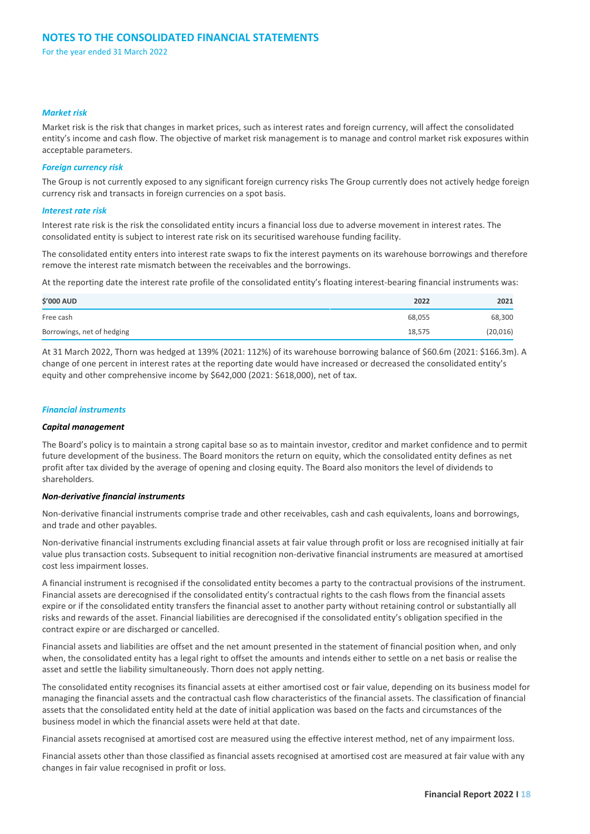#### *Market risk*

Market risk is the risk that changes in market prices, such as interest rates and foreign currency, will affect the consolidated entity's income and cash flow. The objective of market risk management is to manage and control market risk exposures within acceptable parameters.

#### *Foreign currency risk*

The Group is not currently exposed to any significant foreign currency risks The Group currently does not actively hedge foreign currency risk and transacts in foreign currencies on a spot basis.

#### *Interest rate risk*

Interest rate risk is the risk the consolidated entity incurs a financial loss due to adverse movement in interest rates. The consolidated entity is subject to interest rate risk on its securitised warehouse funding facility.

The consolidated entity enters into interest rate swaps to fix the interest payments on its warehouse borrowings and therefore remove the interest rate mismatch between the receivables and the borrowings.

At the reporting date the interest rate profile of the consolidated entity's floating interest-bearing financial instruments was:

| <b>\$'000 AUD</b>          | 2022   | 2021     |
|----------------------------|--------|----------|
| Free cash                  | 68,055 | 68,300   |
| Borrowings, net of hedging | 18,575 | (20,016) |

At 31 March 2022, Thorn was hedged at 139% (2021: 112%) of its warehouse borrowing balance of \$60.6m (2021: \$166.3m). A change of one percent in interest rates at the reporting date would have increased or decreased the consolidated entity's equity and other comprehensive income by \$642,000 (2021: \$618,000), net of tax.

#### *Financial instruments*

#### *Capital management*

The Board's policy is to maintain a strong capital base so as to maintain investor, creditor and market confidence and to permit future development of the business. The Board monitors the return on equity, which the consolidated entity defines as net profit after tax divided by the average of opening and closing equity. The Board also monitors the level of dividends to shareholders.

#### *Non-derivative financial instruments*

Non-derivative financial instruments comprise trade and other receivables, cash and cash equivalents, loans and borrowings, and trade and other payables.

Non-derivative financial instruments excluding financial assets at fair value through profit or loss are recognised initially at fair value plus transaction costs. Subsequent to initial recognition non-derivative financial instruments are measured at amortised cost less impairment losses.

A financial instrument is recognised if the consolidated entity becomes a party to the contractual provisions of the instrument. Financial assets are derecognised if the consolidated entity's contractual rights to the cash flows from the financial assets expire or if the consolidated entity transfers the financial asset to another party without retaining control or substantially all risks and rewards of the asset. Financial liabilities are derecognised if the consolidated entity's obligation specified in the contract expire or are discharged or cancelled.

Financial assets and liabilities are offset and the net amount presented in the statement of financial position when, and only when, the consolidated entity has a legal right to offset the amounts and intends either to settle on a net basis or realise the asset and settle the liability simultaneously. Thorn does not apply netting.

The consolidated entity recognises its financial assets at either amortised cost or fair value, depending on its business model for managing the financial assets and the contractual cash flow characteristics of the financial assets. The classification of financial assets that the consolidated entity held at the date of initial application was based on the facts and circumstances of the business model in which the financial assets were held at that date.

Financial assets recognised at amortised cost are measured using the effective interest method, net of any impairment loss.

Financial assets other than those classified as financial assets recognised at amortised cost are measured at fair value with any changes in fair value recognised in profit or loss.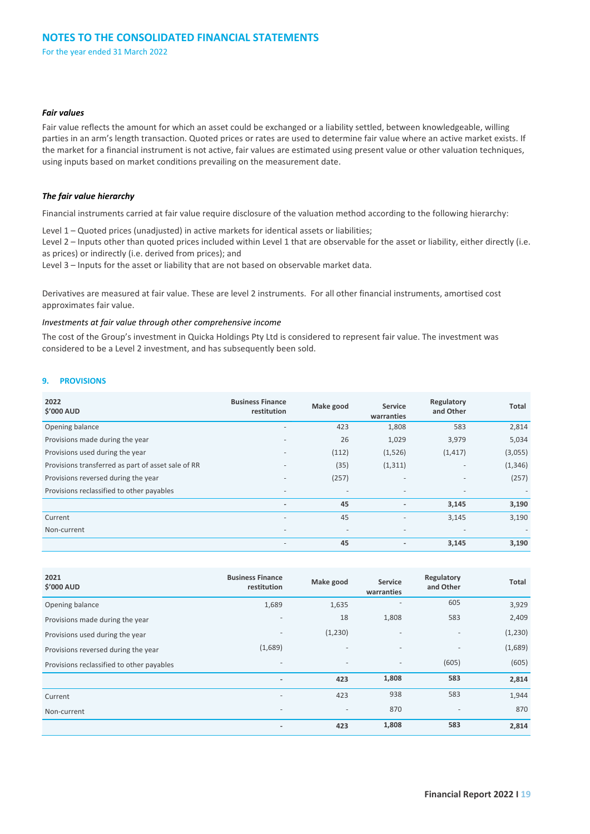#### *Fair values*

Fair value reflects the amount for which an asset could be exchanged or a liability settled, between knowledgeable, willing parties in an arm's length transaction. Quoted prices or rates are used to determine fair value where an active market exists. If the market for a financial instrument is not active, fair values are estimated using present value or other valuation techniques, using inputs based on market conditions prevailing on the measurement date.

#### *The fair value hierarchy*

Financial instruments carried at fair value require disclosure of the valuation method according to the following hierarchy:

Level 1 – Quoted prices (unadjusted) in active markets for identical assets or liabilities;

Level 2 – Inputs other than quoted prices included within Level 1 that are observable for the asset or liability, either directly (i.e. as prices) or indirectly (i.e. derived from prices); and

Level 3 – Inputs for the asset or liability that are not based on observable market data.

Derivatives are measured at fair value. These are level 2 instruments. For all other financial instruments, amortised cost approximates fair value.

#### *Investments at fair value through other comprehensive income*

The cost of the Group's investment in Quicka Holdings Pty Ltd is considered to represent fair value. The investment was considered to be a Level 2 investment, and has subsequently been sold.

#### **9. PROVISIONS**

| 2022<br><b>\$'000 AUD</b>                          | <b>Business Finance</b><br>restitution | Make good                | <b>Service</b><br>warranties | Regulatory<br>and Other  | Total    |
|----------------------------------------------------|----------------------------------------|--------------------------|------------------------------|--------------------------|----------|
| Opening balance                                    | $\overline{\phantom{a}}$               | 423                      | 1,808                        | 583                      | 2,814    |
| Provisions made during the year                    | $\qquad \qquad$                        | 26                       | 1,029                        | 3,979                    | 5,034    |
| Provisions used during the year                    |                                        | (112)                    | (1,526)                      | (1, 417)                 | (3,055)  |
| Provisions transferred as part of asset sale of RR |                                        | (35)                     | (1, 311)                     | $\qquad \qquad -$        | (1, 346) |
| Provisions reversed during the year                | $\overline{\phantom{a}}$               | (257)                    | $\overline{\phantom{a}}$     | $\overline{\phantom{a}}$ | (257)    |
| Provisions reclassified to other payables          | $\overline{\phantom{a}}$               | $\overline{\phantom{a}}$ | $\overline{\phantom{a}}$     | $\overline{\phantom{a}}$ |          |
|                                                    | $\overline{\phantom{a}}$               | 45                       | ٠                            | 3,145                    | 3,190    |
| Current                                            | $\overline{\phantom{a}}$               | 45                       | $\overline{\phantom{a}}$     | 3,145                    | 3,190    |
| Non-current                                        | $\qquad \qquad$                        | $\overline{\phantom{a}}$ | $\overline{\phantom{a}}$     | $\overline{\phantom{a}}$ |          |
|                                                    |                                        | 45                       | $\overline{\phantom{a}}$     | 3,145                    | 3,190    |

| 2021<br><b>\$'000 AUD</b>                 | <b>Business Finance</b><br>restitution | Make good                | Service<br>warranties    | Regulatory<br>and Other  | Total    |
|-------------------------------------------|----------------------------------------|--------------------------|--------------------------|--------------------------|----------|
| Opening balance                           | 1,689                                  | 1,635                    |                          | 605                      | 3,929    |
| Provisions made during the year           | $\overline{\phantom{a}}$               | 18                       | 1,808                    | 583                      | 2,409    |
| Provisions used during the year           | $\overline{\phantom{a}}$               | (1,230)                  | $\overline{\phantom{a}}$ | $\overline{\phantom{a}}$ | (1, 230) |
| Provisions reversed during the year       | (1,689)                                | $\overline{\phantom{a}}$ | $\overline{\phantom{a}}$ | $\overline{\phantom{a}}$ | (1,689)  |
| Provisions reclassified to other payables | $\overline{\phantom{a}}$               | $\overline{\phantom{a}}$ | $\overline{\phantom{a}}$ | (605)                    | (605)    |
|                                           | $\overline{\phantom{a}}$               | 423                      | 1,808                    | 583                      | 2,814    |
| Current                                   | $\overline{\phantom{a}}$               | 423                      | 938                      | 583                      | 1,944    |
| Non-current                               | $\overline{\phantom{a}}$               | $\overline{\phantom{a}}$ | 870                      | $\overline{\phantom{a}}$ | 870      |
|                                           | $\overline{\phantom{a}}$               | 423                      | 1,808                    | 583                      | 2,814    |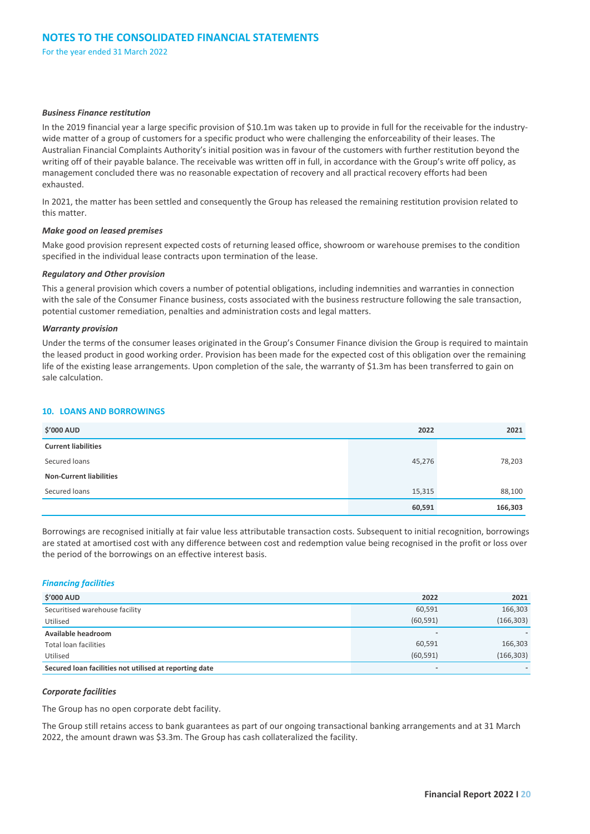#### *Business Finance restitution*

In the 2019 financial year a large specific provision of \$10.1m was taken up to provide in full for the receivable for the industrywide matter of a group of customers for a specific product who were challenging the enforceability of their leases. The Australian Financial Complaints Authority's initial position was in favour of the customers with further restitution beyond the writing off of their payable balance. The receivable was written off in full, in accordance with the Group's write off policy, as management concluded there was no reasonable expectation of recovery and all practical recovery efforts had been exhausted.

In 2021, the matter has been settled and consequently the Group has released the remaining restitution provision related to this matter.

#### *Make good on leased premises*

Make good provision represent expected costs of returning leased office, showroom or warehouse premises to the condition specified in the individual lease contracts upon termination of the lease.

#### *Regulatory and Other provision*

This a general provision which covers a number of potential obligations, including indemnities and warranties in connection with the sale of the Consumer Finance business, costs associated with the business restructure following the sale transaction, potential customer remediation, penalties and administration costs and legal matters.

#### *Warranty provision*

Under the terms of the consumer leases originated in the Group's Consumer Finance division the Group is required to maintain the leased product in good working order. Provision has been made for the expected cost of this obligation over the remaining life of the existing lease arrangements. Upon completion of the sale, the warranty of \$1.3m has been transferred to gain on sale calculation.

#### **10. LOANS AND BORROWINGS**

| <b>\$'000 AUD</b>              | 2022   | 2021    |
|--------------------------------|--------|---------|
| <b>Current liabilities</b>     |        |         |
| Secured loans                  | 45,276 | 78,203  |
| <b>Non-Current liabilities</b> |        |         |
| Secured loans                  | 15,315 | 88,100  |
|                                | 60,591 | 166,303 |

Borrowings are recognised initially at fair value less attributable transaction costs. Subsequent to initial recognition, borrowings are stated at amortised cost with any difference between cost and redemption value being recognised in the profit or loss over the period of the borrowings on an effective interest basis.

#### *Financing facilities*

| <b>\$'000 AUD</b>                                      | 2022                     | 2021       |
|--------------------------------------------------------|--------------------------|------------|
| Securitised warehouse facility                         | 60,591                   | 166,303    |
| Utilised                                               | (60, 591)                | (166, 303) |
| Available headroom                                     | $\overline{\phantom{a}}$ |            |
| <b>Total loan facilities</b>                           | 60,591                   | 166,303    |
| Utilised                                               | (60, 591)                | (166, 303) |
| Secured loan facilities not utilised at reporting date | $\overline{\phantom{a}}$ |            |

#### *Corporate facilities*

The Group has no open corporate debt facility.

The Group still retains access to bank guarantees as part of our ongoing transactional banking arrangements and at 31 March 2022, the amount drawn was \$3.3m. The Group has cash collateralized the facility.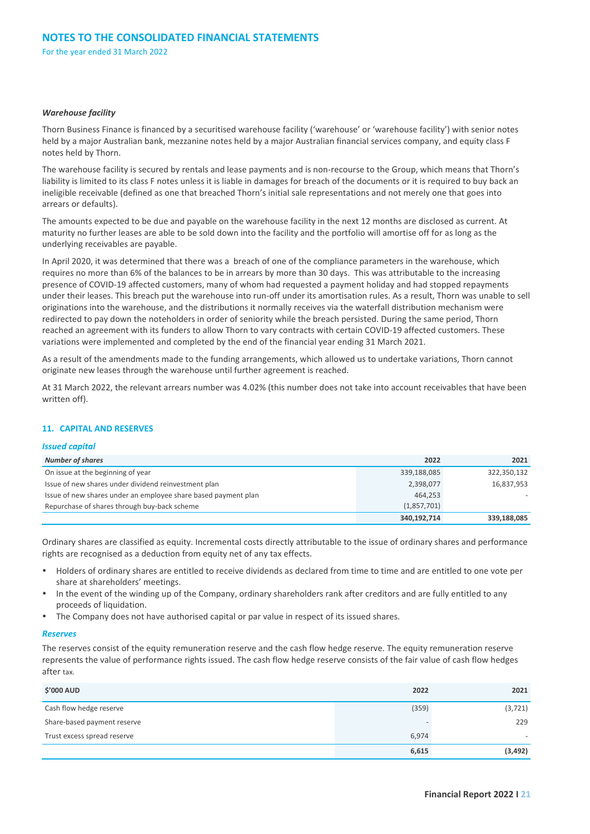#### *Warehouse facility*

Thorn Business Finance is financed by a securitised warehouse facility ('warehouse' or 'warehouse facility') with senior notes held by a major Australian bank, mezzanine notes held by a major Australian financial services company, and equity class F notes held by Thorn.

The warehouse facility is secured by rentals and lease payments and is non-recourse to the Group, which means that Thorn's liability is limited to its class F notes unless it is liable in damages for breach of the documents or it is required to buy back an ineligible receivable (defined as one that breached Thorn's initial sale representations and not merely one that goes into arrears or defaults).

The amounts expected to be due and payable on the warehouse facility in the next 12 months are disclosed as current. At maturity no further leases are able to be sold down into the facility and the portfolio will amortise off for as long as the underlying receivables are payable.

In April 2020, it was determined that there was a breach of one of the compliance parameters in the warehouse, which requires no more than 6% of the balances to be in arrears by more than 30 days. This was attributable to the increasing presence of COVID-19 affected customers, many of whom had requested a payment holiday and had stopped repayments under their leases. This breach put the warehouse into run-off under its amortisation rules. As a result, Thorn was unable to sell originations into the warehouse, and the distributions it normally receives via the waterfall distribution mechanism were redirected to pay down the noteholders in order of seniority while the breach persisted. During the same period, Thorn reached an agreement with its funders to allow Thorn to vary contracts with certain COVID-19 affected customers. These variations were implemented and completed by the end of the financial year ending 31 March 2021.

As a result of the amendments made to the funding arrangements, which allowed us to undertake variations, Thorn cannot originate new leases through the warehouse until further agreement is reached.

At 31 March 2022, the relevant arrears number was 4.02% (this number does not take into account receivables that have been written off).

#### **11. CAPITAL AND RESERVES**

#### *Issued capital*

| <b>Number of shares</b>                                        | 2022        | 2021        |
|----------------------------------------------------------------|-------------|-------------|
| On issue at the beginning of year                              | 339,188,085 | 322,350,132 |
| Issue of new shares under dividend reinvestment plan           | 2,398,077   | 16,837,953  |
| Issue of new shares under an employee share based payment plan | 464.253     |             |
| Repurchase of shares through buy-back scheme                   | (1,857,701) |             |
|                                                                | 340,192,714 | 339,188,085 |

Ordinary shares are classified as equity. Incremental costs directly attributable to the issue of ordinary shares and performance rights are recognised as a deduction from equity net of any tax effects.

- Holders of ordinary shares are entitled to receive dividends as declared from time to time and are entitled to one vote per share at shareholders' meetings.
- In the event of the winding up of the Company, ordinary shareholders rank after creditors and are fully entitled to any proceeds of liquidation.
- The Company does not have authorised capital or par value in respect of its issued shares.

#### *Reserves*

The reserves consist of the equity remuneration reserve and the cash flow hedge reserve. The equity remuneration reserve represents the value of performance rights issued. The cash flow hedge reserve consists of the fair value of cash flow hedges after tax.

| <b>\$'000 AUD</b>           | 2022  | 2021                     |
|-----------------------------|-------|--------------------------|
| Cash flow hedge reserve     | (359) | (3, 721)                 |
| Share-based payment reserve |       | 229                      |
| Trust excess spread reserve | 6,974 | $\overline{\phantom{a}}$ |
|                             | 6,615 | (3, 492)                 |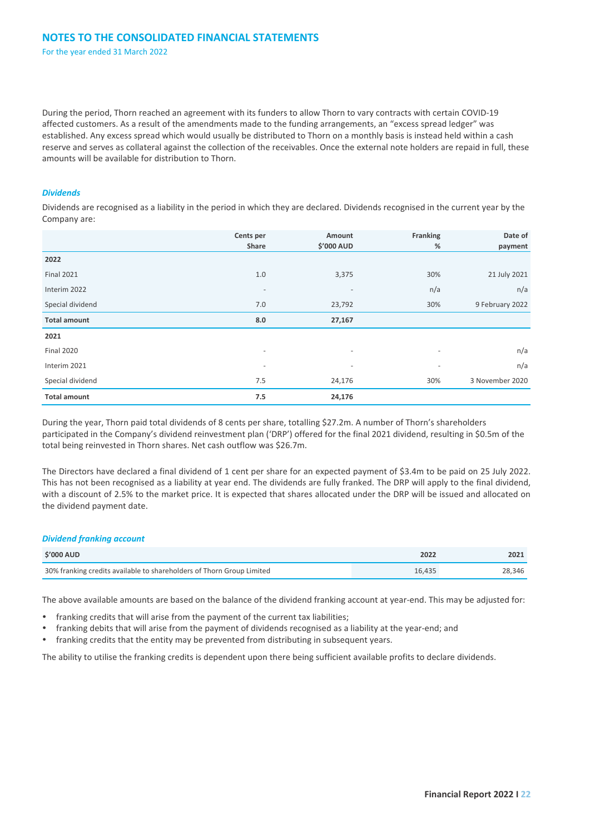During the period, Thorn reached an agreement with its funders to allow Thorn to vary contracts with certain COVID-19 affected customers. As a result of the amendments made to the funding arrangements, an "excess spread ledger" was established. Any excess spread which would usually be distributed to Thorn on a monthly basis is instead held within a cash reserve and serves as collateral against the collection of the receivables. Once the external note holders are repaid in full, these amounts will be available for distribution to Thorn.

#### *Dividends*

Dividends are recognised as a liability in the period in which they are declared. Dividends recognised in the current year by the Company are:

|                     | Cents per                | Amount                   | Franking                 | Date of         |
|---------------------|--------------------------|--------------------------|--------------------------|-----------------|
|                     | Share                    | \$'000 AUD               | %                        | payment         |
| 2022                |                          |                          |                          |                 |
| <b>Final 2021</b>   | 1.0                      | 3,375                    | 30%                      | 21 July 2021    |
| Interim 2022        | $\overline{\phantom{a}}$ | $\overline{\phantom{a}}$ | n/a                      | n/a             |
| Special dividend    | 7.0                      | 23,792                   | 30%                      | 9 February 2022 |
| <b>Total amount</b> | 8.0                      | 27,167                   |                          |                 |
| 2021                |                          |                          |                          |                 |
| <b>Final 2020</b>   | $\overline{\phantom{a}}$ | $\overline{\phantom{a}}$ | $\overline{\phantom{a}}$ | n/a             |
| Interim 2021        | $\overline{\phantom{a}}$ | $\overline{\phantom{a}}$ | $\overline{\phantom{a}}$ | n/a             |
| Special dividend    | 7.5                      | 24,176                   | 30%                      | 3 November 2020 |
| <b>Total amount</b> | 7.5                      | 24,176                   |                          |                 |

During the year, Thorn paid total dividends of 8 cents per share, totalling \$27.2m. A number of Thorn's shareholders participated in the Company's dividend reinvestment plan ('DRP') offered for the final 2021 dividend, resulting in \$0.5m of the total being reinvested in Thorn shares. Net cash outflow was \$26.7m.

The Directors have declared a final dividend of 1 cent per share for an expected payment of \$3.4m to be paid on 25 July 2022. This has not been recognised as a liability at year end. The dividends are fully franked. The DRP will apply to the final dividend, with a discount of 2.5% to the market price. It is expected that shares allocated under the DRP will be issued and allocated on the dividend payment date.

#### *Dividend franking account*

| <b>S'000 AUD</b>                                                      | 2022   | 2021   |
|-----------------------------------------------------------------------|--------|--------|
| 30% franking credits available to shareholders of Thorn Group Limited | 16.435 | 28.346 |

The above available amounts are based on the balance of the dividend franking account at year-end. This may be adjusted for:

- franking credits that will arise from the payment of the current tax liabilities;
- franking debits that will arise from the payment of dividends recognised as a liability at the year-end; and
- franking credits that the entity may be prevented from distributing in subsequent years.

The ability to utilise the franking credits is dependent upon there being sufficient available profits to declare dividends.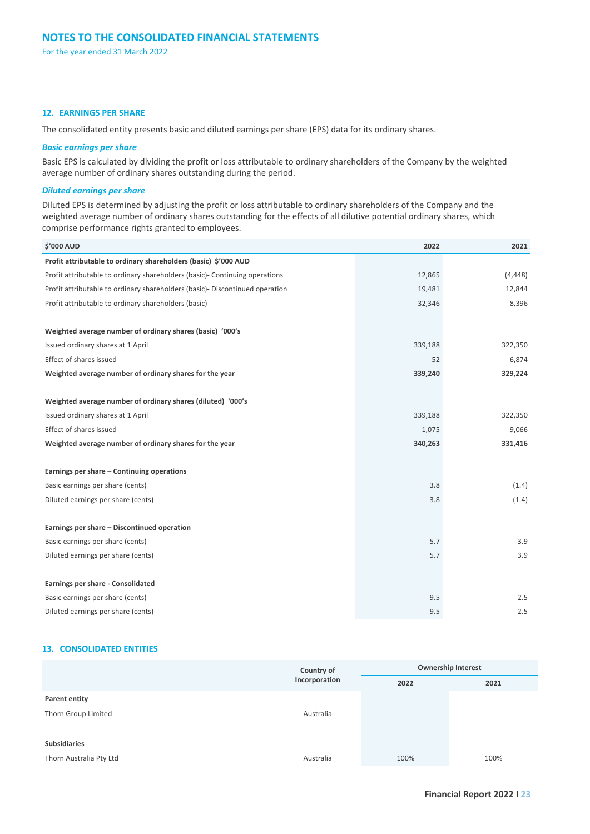#### **12. EARNINGS PER SHARE**

The consolidated entity presents basic and diluted earnings per share (EPS) data for its ordinary shares.

#### *Basic earnings per share*

Basic EPS is calculated by dividing the profit or loss attributable to ordinary shareholders of the Company by the weighted average number of ordinary shares outstanding during the period.

#### *Diluted earnings per share*

Diluted EPS is determined by adjusting the profit or loss attributable to ordinary shareholders of the Company and the weighted average number of ordinary shares outstanding for the effects of all dilutive potential ordinary shares, which comprise performance rights granted to employees.

| <b>\$'000 AUD</b>                                                            | 2022    | 2021     |
|------------------------------------------------------------------------------|---------|----------|
| Profit attributable to ordinary shareholders (basic) \$'000 AUD              |         |          |
| Profit attributable to ordinary shareholders (basic) - Continuing operations | 12,865  | (4, 448) |
| Profit attributable to ordinary shareholders (basic)- Discontinued operation | 19,481  | 12,844   |
| Profit attributable to ordinary shareholders (basic)                         | 32,346  | 8,396    |
| Weighted average number of ordinary shares (basic) '000's                    |         |          |
| Issued ordinary shares at 1 April                                            | 339,188 | 322,350  |
| Effect of shares issued                                                      | 52      | 6,874    |
| Weighted average number of ordinary shares for the year                      | 339,240 | 329,224  |
| Weighted average number of ordinary shares (diluted) '000's                  |         |          |
| Issued ordinary shares at 1 April                                            | 339,188 | 322,350  |
| Effect of shares issued                                                      | 1,075   | 9,066    |
| Weighted average number of ordinary shares for the year                      | 340,263 | 331,416  |
| Earnings per share - Continuing operations                                   |         |          |
| Basic earnings per share (cents)                                             | 3.8     | (1.4)    |
| Diluted earnings per share (cents)                                           | 3.8     | (1.4)    |
| Earnings per share - Discontinued operation                                  |         |          |
| Basic earnings per share (cents)                                             | 5.7     | 3.9      |
| Diluted earnings per share (cents)                                           | 5.7     | 3.9      |
| Earnings per share - Consolidated                                            |         |          |
| Basic earnings per share (cents)                                             | 9.5     | 2.5      |
| Diluted earnings per share (cents)                                           | 9.5     | 2.5      |

#### **13. CONSOLIDATED ENTITIES**

|                         | Country of<br>Incorporation | <b>Ownership Interest</b> |      |
|-------------------------|-----------------------------|---------------------------|------|
|                         |                             | 2022                      | 2021 |
| Parent entity           |                             |                           |      |
| Thorn Group Limited     | Australia                   |                           |      |
|                         |                             |                           |      |
| <b>Subsidiaries</b>     |                             |                           |      |
| Thorn Australia Pty Ltd | Australia                   | 100%                      | 100% |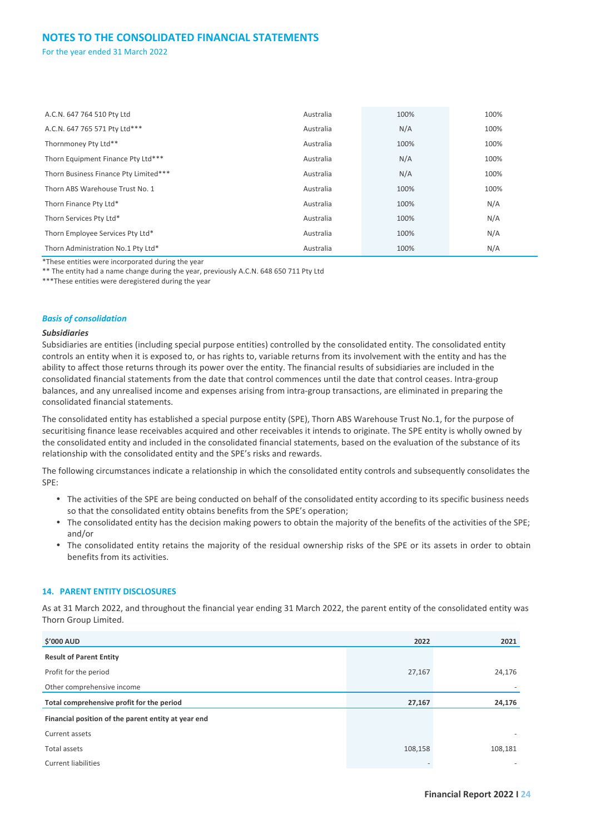| A.C.N. 647 764 510 Pty Ltd            | Australia | 100% | 100% |
|---------------------------------------|-----------|------|------|
| A.C.N. 647 765 571 Pty Ltd***         | Australia | N/A  | 100% |
| Thornmoney Pty Ltd**                  | Australia | 100% | 100% |
| Thorn Equipment Finance Pty Ltd***    | Australia | N/A  | 100% |
| Thorn Business Finance Pty Limited*** | Australia | N/A  | 100% |
| Thorn ABS Warehouse Trust No. 1       | Australia | 100% | 100% |
| Thorn Finance Pty Ltd*                | Australia | 100% | N/A  |
| Thorn Services Pty Ltd*               | Australia | 100% | N/A  |
| Thorn Employee Services Pty Ltd*      | Australia | 100% | N/A  |
| Thorn Administration No.1 Pty Ltd*    | Australia | 100% | N/A  |

\*These entities were incorporated during the year

\*\* The entity had a name change during the year, previously A.C.N. 648 650 711 Pty Ltd

\*\*\*These entities were deregistered during the year

#### *Basis of consolidation*

#### *Subsidiaries*

Subsidiaries are entities (including special purpose entities) controlled by the consolidated entity. The consolidated entity controls an entity when it is exposed to, or has rights to, variable returns from its involvement with the entity and has the ability to affect those returns through its power over the entity. The financial results of subsidiaries are included in the consolidated financial statements from the date that control commences until the date that control ceases. Intra-group balances, and any unrealised income and expenses arising from intra-group transactions, are eliminated in preparing the consolidated financial statements.

The consolidated entity has established a special purpose entity (SPE), Thorn ABS Warehouse Trust No.1, for the purpose of securitising finance lease receivables acquired and other receivables it intends to originate. The SPE entity is wholly owned by the consolidated entity and included in the consolidated financial statements, based on the evaluation of the substance of its relationship with the consolidated entity and the SPE's risks and rewards.

The following circumstances indicate a relationship in which the consolidated entity controls and subsequently consolidates the SPE:

- The activities of the SPE are being conducted on behalf of the consolidated entity according to its specific business needs so that the consolidated entity obtains benefits from the SPE's operation;
- The consolidated entity has the decision making powers to obtain the majority of the benefits of the activities of the SPE; and/or
- The consolidated entity retains the majority of the residual ownership risks of the SPE or its assets in order to obtain benefits from its activities.

#### **14. PARENT ENTITY DISCLOSURES**

As at 31 March 2022, and throughout the financial year ending 31 March 2022, the parent entity of the consolidated entity was Thorn Group Limited.

| <b>\$'000 AUD</b>                                   | 2022                     | 2021    |
|-----------------------------------------------------|--------------------------|---------|
| <b>Result of Parent Entity</b>                      |                          |         |
| Profit for the period                               | 27,167                   | 24,176  |
| Other comprehensive income                          |                          |         |
| Total comprehensive profit for the period           | 27,167                   | 24,176  |
| Financial position of the parent entity at year end |                          |         |
| Current assets                                      |                          |         |
| Total assets                                        | 108,158                  | 108,181 |
| <b>Current liabilities</b>                          | $\overline{\phantom{a}}$ |         |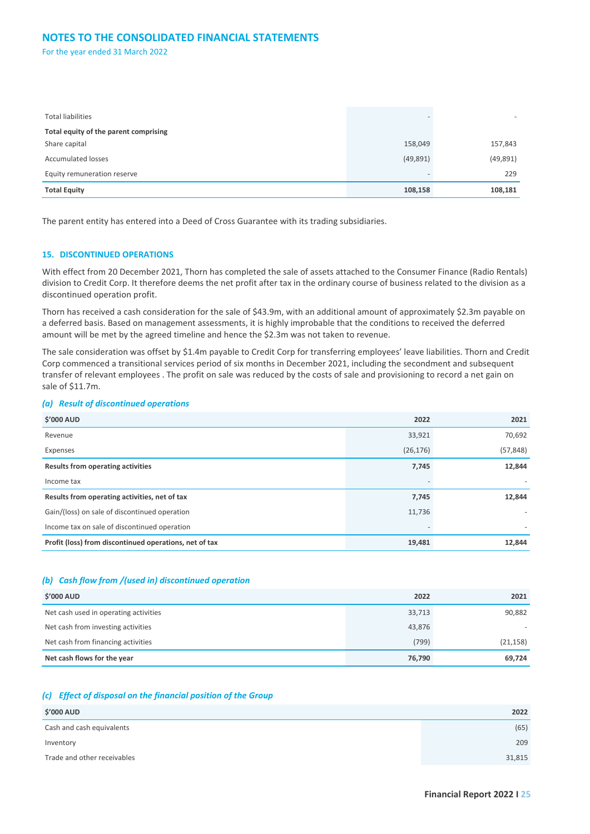### **NOTES TO THE CONSOLIDATED FINANCIAL STATEMENTS**

For the year ended 31 March 2022

| <b>Total liabilities</b>              |           | $\overline{\phantom{0}}$ |
|---------------------------------------|-----------|--------------------------|
| Total equity of the parent comprising |           |                          |
| Share capital                         | 158,049   | 157,843                  |
| <b>Accumulated losses</b>             | (49, 891) | (49, 891)                |
| Equity remuneration reserve           | -         | 229                      |
| <b>Total Equity</b>                   | 108,158   | 108,181                  |

The parent entity has entered into a Deed of Cross Guarantee with its trading subsidiaries.

#### **15. DISCONTINUED OPERATIONS**

With effect from 20 December 2021, Thorn has completed the sale of assets attached to the Consumer Finance (Radio Rentals) division to Credit Corp. It therefore deems the net profit after tax in the ordinary course of business related to the division as a discontinued operation profit.

Thorn has received a cash consideration for the sale of \$43.9m, with an additional amount of approximately \$2.3m payable on a deferred basis. Based on management assessments, it is highly improbable that the conditions to received the deferred amount will be met by the agreed timeline and hence the \$2.3m was not taken to revenue.

The sale consideration was offset by \$1.4m payable to Credit Corp for transferring employees' leave liabilities. Thorn and Credit Corp commenced a transitional services period of six months in December 2021, including the secondment and subsequent transfer of relevant employees . The profit on sale was reduced by the costs of sale and provisioning to record a net gain on sale of \$11.7m.

#### *(a) Result of discontinued operations*

| <b>\$'000 AUD</b>                                      | 2022      | 2021                     |
|--------------------------------------------------------|-----------|--------------------------|
| Revenue                                                | 33,921    | 70,692                   |
| Expenses                                               | (26, 176) | (57, 848)                |
| <b>Results from operating activities</b>               | 7,745     | 12,844                   |
| Income tax                                             |           |                          |
| Results from operating activities, net of tax          | 7,745     | 12,844                   |
| Gain/(loss) on sale of discontinued operation          | 11,736    |                          |
| Income tax on sale of discontinued operation           |           | $\overline{\phantom{a}}$ |
| Profit (loss) from discontinued operations, net of tax | 19,481    | 12,844                   |

#### *(b) Cash flow from /(used in) discontinued operation*

| <b>\$'000 AUD</b>                     | 2022   | 2021      |
|---------------------------------------|--------|-----------|
| Net cash used in operating activities | 33,713 | 90,882    |
| Net cash from investing activities    | 43,876 |           |
| Net cash from financing activities    | (799)  | (21, 158) |
| Net cash flows for the year           | 76,790 | 69,724    |

#### *(c) Effect of disposal on the financial position of the Group*

| <b>\$'000 AUD</b>           | 2022   |
|-----------------------------|--------|
| Cash and cash equivalents   | (65)   |
| Inventory                   | 209    |
| Trade and other receivables | 31,815 |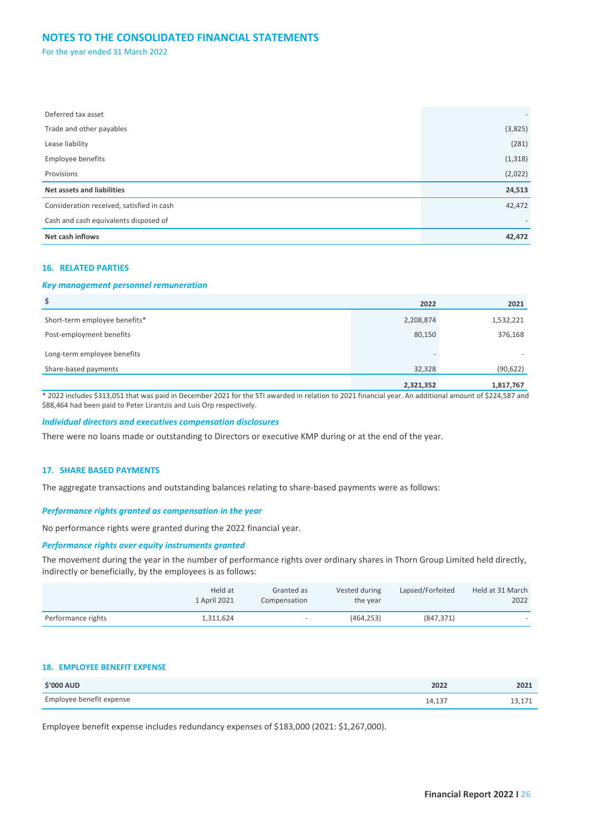### **NOTES TO THE CONSOLIDATED FINANCIAL STATEMENTS**

For the year ended 31 March 2022

| Deferred tax asset                        | $\overline{\phantom{0}}$ |
|-------------------------------------------|--------------------------|
| Trade and other payables                  | (3,825)                  |
| Lease liability                           | (281)                    |
| <b>Employee benefits</b>                  | (1, 318)                 |
| Provisions                                | (2,022)                  |
| Net assets and liabilities                | 24,513                   |
| Consideration received, satisfied in cash | 42,472                   |
| Cash and cash equivalents disposed of     |                          |
| Net cash inflows                          | 42,472                   |

#### **16. RELATED PARTIES**

#### *Key management personnel remuneration*

| \$                            | 2022      | 2021      |
|-------------------------------|-----------|-----------|
| Short-term employee benefits* | 2,208,874 | 1,532,221 |
| Post-employment benefits      | 80,150    | 376,168   |
| Long-term employee benefits   |           |           |
| Share-based payments          | 32,328    | (90, 622) |
|                               | 2,321,352 | 1,817,767 |

\* 2022 includes \$313,051 that was paid in December 2021 for the STI awarded in relation to 2021 financial year. An additional amount of \$224,587 and \$88,464 had been paid to Peter Lirantzis and Luis Orp respectively.

#### *Individual directors and executives compensation disclosures*

There were no loans made or outstanding to Directors or executive KMP during or at the end of the year.

#### **17. SHARE BASED PAYMENTS**

The aggregate transactions and outstanding balances relating to share-based payments were as follows:

#### *Performance rights granted as compensation in the year*

No performance rights were granted during the 2022 financial year.

#### *Performance rights over equity instruments granted*

The movement during the year in the number of performance rights over ordinary shares in Thorn Group Limited held directly, indirectly or beneficially, by the employees is as follows:

|                    | Held at<br>1 April 2021 | Granted as<br>Compensation | Vested during<br>the year | Lapsed/Forfeited | Held at 31 March<br>2022 |
|--------------------|-------------------------|----------------------------|---------------------------|------------------|--------------------------|
| Performance rights | 1.311.624               | $\overline{\phantom{0}}$   | (464.253)                 | (847.371)        | $\overline{\phantom{a}}$ |

#### **18. EMPLOYEE BENEFIT EXPENSE**

| <b>S'000 AUD</b>         | 2022   | 2021 |
|--------------------------|--------|------|
| Employee benefit expense | 14,137 |      |

Employee benefit expense includes redundancy expenses of \$183,000 (2021: \$1,267,000).